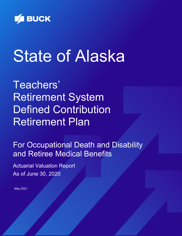

# State of Alaska

Teachers' Retirement System Defined Contribution Retirement Plan

For Occupational Death and Disability and Retiree Medical Benefits

Actuarial Valuation Report As of June 30, 2020

May 2021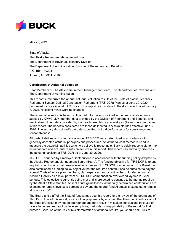

May 20, 2021

State of Alaska The Alaska Retirement Management Board The Department of Revenue, Treasury Division The Department of Administration, Division of Retirement and Benefits P.O. Box 110203 Juneau, AK 99811-0203

#### **Certification of Actuarial Valuation**

Dear Members of The Alaska Retirement Management Board, The Department of Revenue and The Department of Administration:

This report summarizes the annual actuarial valuation results of the State of Alaska Teachers' Retirement System Defined Contribution Retirement (TRS DCR) Plan as of June 30, 2020 performed by Buck Global, LLC (Buck). This report is an update to the draft report dated January 7, 2021, reflecting minor wording changes.

The actuarial valuation is based on financial information provided in the financial statements audited by KPMG LLP, member data provided by the Division of Retirement and Benefits, and medical enrollment data provided by the healthcare claims administrator (Aetna), as summarized in this report. The benefits considered are those delineated in Alaska statutes effective June 30, 2020. The actuary did not verify the data submitted, but did perform tests for consistency and reasonableness.

All costs, liabilities and other factors under TRS DCR were determined in accordance with generally accepted actuarial principles and procedures. An actuarial cost method is used to measure the actuarial liabilities which we believe is reasonable. Buck is solely responsible for the actuarial data and actuarial results presented in this report. This report fully and fairly discloses the actuarial position of TRS DCR as of June 30, 2020.

TRS DCR is funded by Employer Contributions in accordance with the funding policy adopted by the Alaska Retirement Management Board (Board). The funding objective for TRS DCR is to pay required contributions that remain level as a percent of TRS DCR compensation. The Board has also established a funding policy objective that the required contributions be sufficient to pay the Normal Costs of active plan members, plan expenses, and amortize the Unfunded Actuarial Accrued Liability as a level percent of TRS DCR compensation over closed layered 25-year periods. This objective is currently being met and is projected to continue to be met as required by the Alaska State statutes. Absent future gains/losses, actuarially determined contributions are expected to remain level as a percent of pay and the overall funded status is expected to remain at or above 100%.

The Board and staff of the State of Alaska may use this report for the review of the operations of TRS DCR. Use of this report, for any other purpose or by anyone other than the Board or staff of the State of Alaska may not be appropriate and may result in mistaken conclusions because of failure to understand applicable assumptions, methods, or inapplicability of the report for that purpose. Because of the risk of misinterpretation of actuarial results, you should ask Buck to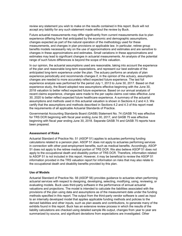review any statement you wish to make on the results contained in this report. Buck will not accept any liability for any such statement made without the review by Buck.

Future actuarial measurements may differ significantly from current measurements due to plan experience differing from that anticipated by the economic and demographic assumptions, changes expected as part of the natural operation of the methodology used for these measurements, and changes in plan provisions or applicable law. In particular, retiree group benefits models necessarily rely on the use of approximations and estimates and are sensitive to changes in these approximations and estimates. Small variations in these approximations and estimates may lead to significant changes in actuarial measurements. An analysis of the potential range of such future differences is beyond the scope of this valuation.

In our opinion, the actuarial assumptions used are reasonable, taking into account the experience of the plan and reasonable long-term expectations, and represent our best estimate of the anticipated long-term experience under the plan. The actuary performs an analysis of plan experience periodically and recommends changes if, in the opinion of the actuary, assumption changes are needed to more accurately reflect expected future experience. The last full experience analysis was performed for the period July 1, 2013 to June 30, 2017. Based on that experience study, the Board adopted new assumptions effective beginning with the June 30, 2018 valuation to better reflect expected future experience. Based on our annual analysis of recent claims experience, changes were made to the per capita claims cost rates effective June 30, 2020 to better reflect expected future healthcare experience. A summary of the actuarial assumptions and methods used in this actuarial valuation is shown in Sections 4.2 and 4.3. We certify that the assumptions and methods described in Sections 4.2 and 4.3 of this report meet the requirements of all applicable Actuarial Standards of Practice.

Governmental Accounting Standards Board (GASB) Statement No. 74 (GASB 74) was effective for TRS DCR beginning with fiscal year ending June 30, 2017, and GASB 75 was effective beginning with fiscal year ending June 30, 2018. Separate GASB 74 and GASB 75 reports have been prepared.

#### **Assessment of Risks**

Actuarial Standard of Practice No. 51 (ASOP 51) applies to actuaries performing funding calculations related to a pension plan. ASOP 51 does not apply to actuaries performing services in connection with other post-employment benefits, such as medical benefits. Accordingly, ASOP 51 does not apply to the retiree medical portion of TRS DCR. We also believe ASOP 51 does not apply to the occupational death and disability portion of TRS DCR. Therefore, information related to ASOP 51 is not included in this report. However, it may be beneficial to review the ASOP 51 information provided in the TRS valuation report for information on risks that may also relate to the occupational death and disability benefits provided by this plan.

#### **Use of Models**

Actuarial Standard of Practice No. 56 (ASOP 56) provides guidance to actuaries when performing actuarial services with respect to designing, developing, selecting, modifying, using, reviewing, or evaluating models. Buck uses third-party software in the performance of annual actuarial valuations and projections. The model is intended to calculate the liabilities associated with the provisions of the plan using data and assumptions as of the measurement date under the funding methods specified in this report. The output from the third-party vendor software is used as input to an internally developed model that applies applicable funding methods and policies to the derived liabilities and other inputs, such as plan assets and contributions, to generate many of the exhibits found in this report. Buck has an extensive review process in which the results of the liability calculations are checked using detailed sample life output, changes from year to year are summarized by source, and significant deviations from expectations are investigated. Other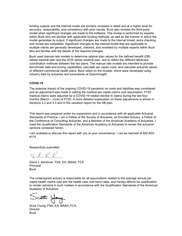funding outputs and the internal model are similarly reviewed in detail and at a higher level for accuracy, reasonability, and consistency with prior results. Buck also reviews the third-party model when significant changes are made to the software. This review is performed by experts within Buck who are familiar with applicable funding methods, as well as the manner in which the model generates its output. If significant changes are made to the internal model, extra checking and review are completed. Significant changes to the internal model that are applicable to multiple clients are generally developed, checked, and reviewed by multiple experts within Buck who are familiar with the details of the required changes.

Buck used manual rate models to determine relative plan values for the defined benefit (DB) retiree medical plan and the DCR retiree medical plan, and to reflect the different Medicare coordination methods between the two plans. The manual rate models are intended to provide benchmark data and pricing capabilities, calculate per capita costs, and calculate actuarial values of different commercial health plans. Buck relied on the models, which were developed using industry data by actuaries and consultants at OptumInsight.

#### **COVID-19**

The potential impact of the ongoing COVID-19 pandemic on costs and liabilities was considered and an adjustment was made in setting the medical per capita claims cost assumption. FY20 medical claims were adjusted for a COVID-19 related decline in claims during the last four months (March – June) of FY20. A more detailed explanation on these adjustments is shown in Sections 4.2 and 4.3 and in the valuation report for the DB plan.

This report was prepared under my supervision and in accordance with all applicable Actuarial Standards of Practice. I am a Fellow of the Society of Actuaries, an Enrolled Actuary, a Fellow of the Conference of Consulting Actuaries, and a Member of the American Academy of Actuaries. I meet the Qualification Standards of the American Academy of Actuaries to render the actuarial opinions contained herein.

I am available to discuss this report with you at your convenience. I can be reached at 602-803- 6174.

Respectfully submitted,

SCKR

David J. Kershner, FSA, EA, MAAA, FCA Principal **Buck** 

The undersigned actuary is responsible for all assumptions related to the average annual per capita health claims cost and the health care cost trend rates, and hereby affirms his qualification to render opinions in such matters in accordance with the Qualification Standards of the American Academy of Actuaries.

Scott Young

Scott Young, FSA, EA, MAAA, FCA **Director Buck**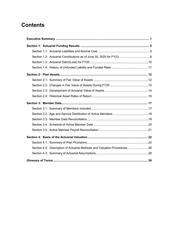# **Contents**

| Section 4.2: Description of Actuarial Methods and Valuation Procedures 26 |  |
|---------------------------------------------------------------------------|--|
|                                                                           |  |
|                                                                           |  |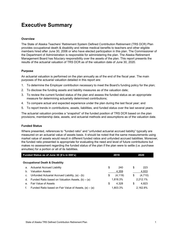# **Executive Summary**

#### **Overview**

The State of Alaska Teachers' Retirement System Defined Contribution Retirement (TRS DCR) Plan provides occupational death & disability and retiree medical benefits to teachers and other eligible members hired after June 30, 2006 or who have elected participation in this plan. The Commissioner of the Department of Administration is responsible for administering the plan. The Alaska Retirement Management Board has fiduciary responsibility over the assets of the plan. This report presents the results of the actuarial valuation of TRS DCR as of the valuation date of June 30, 2020.

#### **Purpose**

An actuarial valuation is performed on the plan annually as of the end of the fiscal year. The main purposes of the actuarial valuation detailed in this report are:

- 1. To determine the Employer contribution necessary to meet the Board's funding policy for the plan;
- 2. To disclose the funding assets and liability measures as of the valuation date;
- 3. To review the current funded status of the plan and assess the funded status as an appropriate measure for determining actuarially determined contributions;
- 4. To compare actual and expected experience under the plan during the last fiscal year; and
- 5. To report trends in contributions, assets, liabilities, and funded status over the last several years.

The actuarial valuation provides a "snapshot" of the funded position of TRS DCR based on the plan provisions, membership data, assets, and actuarial methods and assumptions as of the valuation date.

#### **Funded Status**

Where presented, references to "funded ratio" and "unfunded actuarial accrued liability" typically are measured on an actuarial value of assets basis. It should be noted that the same measurements using market value of assets would result in different funded ratios and unfunded accrued liabilities. Moreover, the funded ratio presented is appropriate for evaluating the need and level of future contributions but makes no assessment regarding the funded status of the plan if the plan were to settle (i.e. purchase annuities) for a portion or all of its liabilities.

|    | Funded Status as of June 30 (\$'s in 000's)                | 2019           | 2020          |
|----|------------------------------------------------------------|----------------|---------------|
|    | <b>Occupational Death &amp; Disability</b>                 |                |               |
| a. | Actuarial Accrued Liability                                | \$<br>240      | \$<br>223     |
| b. | <b>Valuation Assets</b>                                    | 4,359          | 4,933         |
| c. | Unfunded Actuarial Accrued Liability, (a) - (b)            | \$<br>(4, 119) | \$<br>(4,710) |
| d. | Funded Ratio based on Valuation Assets, $(b) \div (a)$     | 1,816.3%       | 2,212.1%      |
| е. | <b>Fair Value of Assets</b>                                | \$<br>4.328    | \$<br>4.823   |
|    | Funded Ratio based on Fair Value of Assets, $(e) \div (a)$ | 1,803.3%       | 2,162.8%      |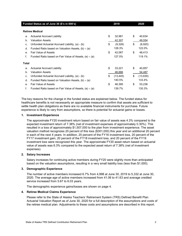|                | Funded Status as of June 30 (\$'s in 000's)                | 2019            | 2020           |
|----------------|------------------------------------------------------------|-----------------|----------------|
|                | <b>Retiree Medical</b>                                     |                 |                |
| a.             | <b>Actuarial Accrued Liability</b>                         | \$<br>32,981    | \$<br>40,634   |
| b.             | <b>Valuation Assets</b>                                    | 42,307          | 49,554         |
| c.             | Unfunded Actuarial Accrued Liability, (a) - (b)            | \$<br>(9,326)   | \$<br>(8,920)  |
| d.             | Funded Ratio based on Valuation Assets, $(b) \div (a)$     | 128.3%          | 122.0%         |
| e <sub>1</sub> | <b>Fair Value of Assets</b>                                | \$<br>42,067    | \$<br>48,413   |
| f.             | Funded Ratio based on Fair Value of Assets, $(e) \div (a)$ | 127.5%          | 119.1%         |
| <b>Total</b>   |                                                            |                 |                |
| a.             | <b>Actuarial Accrued Liability</b>                         | \$<br>33,221    | \$<br>40,857   |
| b.             | <b>Valuation Assets</b>                                    | 46,666          | 54,487         |
| C.             | Unfunded Actuarial Accrued Liability, (a) - (b)            | \$<br>(13, 445) | \$<br>(13,630) |
| d.             | Funded Ratio based on Valuation Assets, $(b) \div (a)$     | 140.5%          | 133.4%         |
| $\mathbf{e}$ . | <b>Fair Value of Assets</b>                                | \$<br>46,395    | \$<br>53,236   |
| f.             | Funded Ratio based on Fair Value of Assets, $(e) \div (a)$ | 139.7%          | 130.3%         |

The key reasons for the change in the funded status are explained below. The funded status for healthcare benefits is not necessarily an appropriate measure to confirm that assets are sufficient to settle health plan obligations as there are no available financial instruments for purchase. Future experience is likely to vary from assumptions, so there is potential for actuarial gains or losses.

#### **1. Investment Experience**

The approximate FY20 investment return based on fair value of assets was 4.3% compared to the expected investment return of 7.38% (net of investment expenses of approximately 0.30%). This resulted in a loss of approximately \$1,507,000 to the plan from investment experience. The asset valuation method recognizes 20 percent of this loss (\$301,000) this year and an additional 20 percent in each of the next 4 years. In addition, 20 percent of the FY16 investment loss, 20 percent of the FY17 investment gain, 20 percent of the FY18 investment loss, and 20 percent of the FY19 investment loss were recognized this year. The approximate FY20 asset return based on actuarial value of assets was 6.3% compared to the expected asset return of 7.38% (net of investment expenses).

#### **2. Salary Increases**

Salary increases for continuing active members during FY20 were slightly more than anticipated based on the valuation assumptions, resulting in a very small liability loss (less than \$1,000).

#### **3. Demographic Experience**

The number of active members increased 6.7% from 4,998 at June 30, 2019 to 5,332 at June 30, 2020. The average age of active members increased from 41.06 to 41.63 and average credited service increased from 5.67 to 6.03 years.

The demographic experience gains/losses are shown on page 4.

#### **4. Retiree Medical Claims Experience**

Please refer to the State of Alaska Teachers' Retirement System (TRS) Defined Benefit Plan Actuarial Valuation Report as of June 30, 2020 for a full description of the assumptions and costs of the retiree medical plan. Adjustments to these costs and assumptions are described in this report.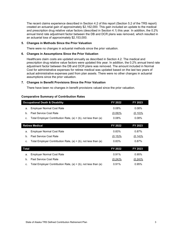The recent claims experience described in Section 4.2 of this report (Section 5.2 of the TRS report) created an actuarial gain of approximately \$2,162,000. This gain included an update to the medical and prescription drug relative value factors (described in Section 4.1) this year. In addition, the 0.2% annual trend rate adjustment factor between the DB and DCR plans was removed, which resulted in an actuarial loss of approximately \$2,153,000.

#### **5. Changes in Methods Since the Prior Valuation**

There were no changes in actuarial methods since the prior valuation.

#### **6. Changes in Assumptions Since the Prior Valuation**

Healthcare claim costs are updated annually as described in Section 4.2. The medical and prescription drug relative value factors were updated this year. In addition, the 0.2% annual trend rate adjustment factor between the DB and DCR plans was removed. The amount included in Normal Cost for administrative expenses for retiree medical was updated based on the last two years of actual administrative expenses paid from plan assets. There were no other changes in actuarial assumptions since the prior valuation.

#### **7. Changes in Benefit Provisions Since the Prior Valuation**

There have been no changes in benefit provisions valued since the prior valuation.

#### **Comparative Summary of Contribution Rates**

|       | <b>Occupational Death &amp; Disability</b>                          | FY 2022    | FY 2023    |
|-------|---------------------------------------------------------------------|------------|------------|
| a.    | <b>Employer Normal Cost Rate</b>                                    | 0.08%      | 0.08%      |
| b.    | Past Service Cost Rate                                              | (0.09)%    | $(0.10)$ % |
| c.    | Total Employer Contribution Rate, $(a) + (b)$ , not less than $(a)$ | $0.08\%$   | 0.08%      |
|       |                                                                     |            |            |
|       | <b>Retiree Medical</b>                                              | FY 2022    | FY 2023    |
| a.    | <b>Employer Normal Cost Rate</b>                                    | 0.83%      | 0.87%      |
|       |                                                                     |            |            |
| b.    | Past Service Cost Rate                                              | $(0.15)\%$ | $(0.14)\%$ |
| C.    | Total Employer Contribution Rate, $(a) + (b)$ , not less than $(a)$ | 0.83%      | 0.87%      |
|       |                                                                     |            |            |
| Total |                                                                     | FY 2022    | FY 2023    |

b. Past Service Cost Rate (0.24)% (0.24)% c. Total Employer Contribution Rate,  $(a) + (b)$ , not less than  $(a)$  0.91% 0.95%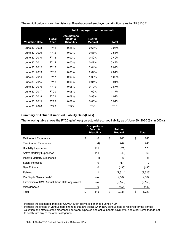|                       |                       | <b>Total Employer Contribution Rate</b>             |                                  |            |  |  |  |  |  |
|-----------------------|-----------------------|-----------------------------------------------------|----------------------------------|------------|--|--|--|--|--|
| <b>Valuation Date</b> | <b>Fiscal</b><br>Year | <b>Occupational</b><br>Death &<br><b>Disability</b> | <b>Retiree</b><br><b>Medical</b> | Total      |  |  |  |  |  |
| June 30, 2008         | <b>FY11</b>           | 0.28%                                               | 0.68%                            | 0.96%      |  |  |  |  |  |
| June 30, 2009         | FY12                  | $0.00\%$                                            | 0.58%                            | 0.58%      |  |  |  |  |  |
| June 30, 2010         | FY13                  | $0.00\%$                                            | 0.49%                            | 0.49%      |  |  |  |  |  |
| June 30, 2011         | <b>FY14</b>           | $0.00\%$                                            | 0.47%                            | 0.47%      |  |  |  |  |  |
| June 30, 2012         | <b>FY15</b>           | $0.00\%$                                            | 2.04%                            | 2.04%      |  |  |  |  |  |
| June 30, 2013         | <b>FY16</b>           | $0.00\%$                                            | 2.04%                            | 2.04%      |  |  |  |  |  |
| June 30, 2014         | FY17                  | $0.00\%$                                            | 1.05%                            | 1.05%      |  |  |  |  |  |
| June 30, 2015         | FY18                  | $0.00\%$                                            | 0.91%                            | 0.91%      |  |  |  |  |  |
| June 30, 2016         | <b>FY19</b>           | 0.08%                                               | 0.79%                            | 0.87%      |  |  |  |  |  |
| June 30, 2017         | <b>FY20</b>           | 0.08%                                               | 1.09%                            | 1.17%      |  |  |  |  |  |
| June 30, 2018         | FY21                  | 0.08%                                               | 0.93%                            | 1.01%      |  |  |  |  |  |
| June 30, 2019         | FY22                  | 0.08%                                               | 0.83%                            | 0.91%      |  |  |  |  |  |
| June 30, 2020         | FY23                  | TBD                                                 | TBD                              | <b>TBD</b> |  |  |  |  |  |

The exhibit below shows the historical Board-adopted employer contribution rates for TRS DCR.

#### **Summary of Actuarial Accrued Liability Gain/(Loss)**

The following table shows the FY20 gain/(loss) on actuarial accrued liability as of June 30, 2020 (\$'s in 000's):

|                                                  | <b>Occupational</b><br>Death &<br><b>Disability</b> | <b>Retiree</b><br><b>Medical</b> | <b>Total</b> |  |    |          |
|--------------------------------------------------|-----------------------------------------------------|----------------------------------|--------------|--|----|----------|
| <b>Retirement Experience</b>                     | \$<br>0                                             | \$                               | 240          |  | \$ | 240      |
| <b>Termination Experience</b>                    | (4)                                                 |                                  | 744          |  |    | 740      |
| <b>Disability Experience</b>                     | 199                                                 |                                  | (21)         |  |    | 178      |
| <b>Active Mortality Experience</b>               | 111                                                 |                                  | (43)         |  |    | 68       |
| Inactive Mortality Experience                    | (1)                                                 |                                  | (7)          |  |    | (8)      |
| Salary Increases                                 | $\Omega$                                            |                                  | N/A          |  |    | 0        |
| <b>New Entrants</b>                              | $\mathbf{0}$                                        |                                  | (495)        |  |    | (495)    |
| <b>Rehires</b>                                   | 1                                                   |                                  | (2,314)      |  |    | (2,313)  |
| Per Capita Claims Costs <sup>1</sup>             | N/A                                                 |                                  | 2,162        |  |    | 2,162    |
| Elimination of 0.2% Annual Trend Rate Adjustment | N/A                                                 |                                  | (2, 153)     |  |    | (2, 153) |
| Miscellaneous <sup>2</sup>                       | 9                                                   |                                  | (151)        |  |    | (142)    |
| Total                                            | \$<br>315                                           | \$                               | (2,038)      |  | \$ | (1,723)  |

<span id="page-8-0"></span><sup>&</sup>lt;sup>1</sup> Includes the estimated impact of COVID-19 on claims experience during FY20.

-

<span id="page-8-1"></span><sup>&</sup>lt;sup>2</sup> Includes the effects of various data changes that are typical when new census data is received for the annual valuation, the effects of the differences between expected and actual benefit payments, and other items that do not fit neatly into any of the other categories.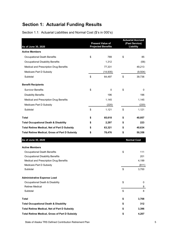# **Section 1: Actuarial Funding Results**

Section 1.1: Actuarial Liabilities and Normal Cost (\$'s in 000's)

| As of June 30, 2020                                   |    | <b>Present Value of</b><br><b>Projected Benefits</b> | <b>Actuarial Accrued</b><br>(Past Service)<br><b>Liability</b> |
|-------------------------------------------------------|----|------------------------------------------------------|----------------------------------------------------------------|
| <b>Active Members</b>                                 |    |                                                      |                                                                |
| Occupational Death Benefits                           | \$ | 789                                                  | \$<br>85                                                       |
| <b>Occupational Disability Benefits</b>               |    | 1,312                                                | (58)                                                           |
| Medical and Prescription Drug Benefits                |    | 77,331                                               | 49,213                                                         |
| Medicare Part D Subsidy                               |    | (14,935)                                             | (9, 504)                                                       |
| Subtotal                                              | \$ | 64,497                                               | \$<br>39,736                                                   |
| <b>Benefit Recipients</b>                             |    |                                                      |                                                                |
| <b>Survivor Benefits</b>                              | \$ | 0                                                    | \$<br>0                                                        |
| <b>Disability Benefits</b>                            |    | 196                                                  | 196                                                            |
| Medical and Prescription Drug Benefits                |    | 1,145                                                | 1,145                                                          |
| Medicare Part D Subsidy                               |    | (220)                                                | (220)                                                          |
| Subtotal                                              | \$ | 1,121                                                | \$<br>1,121                                                    |
| <b>Total</b>                                          | \$ | 65,618                                               | \$<br>40,857                                                   |
| <b>Total Occupational Death &amp; Disability</b>      | \$ | 2,297                                                | \$<br>223                                                      |
| <b>Total Retiree Medical, Net of Part D Subsidy</b>   | S  | 63,321                                               | \$<br>40,634                                                   |
| <b>Total Retiree Medical, Gross of Part D Subsidy</b> | \$ | 78,476                                               | \$<br>50,358                                                   |
| As of June 30, 2020                                   |    |                                                      | <b>Normal Cost</b>                                             |
| <b>Active Members</b>                                 |    |                                                      |                                                                |
| Occupational Death Benefits                           |    |                                                      | \$<br>111                                                      |
| Occupational Disability Benefits                      |    |                                                      | 201                                                            |
| Medical and Prescription Drug Benefits                |    |                                                      | 4,199                                                          |
| Medicare Part D Subsidy                               |    |                                                      | (811)                                                          |
| Subtotal                                              |    |                                                      | \$<br>3,700                                                    |
| <b>Administrative Expense Load</b>                    |    |                                                      |                                                                |
| Occupational Death & Disability                       |    |                                                      | \$<br>0                                                        |
| Retiree Medical                                       |    |                                                      | 8                                                              |
| Subtotal                                              |    |                                                      | \$<br>8                                                        |
| <b>Total</b>                                          |    |                                                      | \$<br>3,708                                                    |
| <b>Total Occupational Death &amp; Disability</b>      |    |                                                      | \$<br>312                                                      |
| <b>Total Retiree Medical, Net of Part D Subsidy</b>   |    |                                                      | \$<br>3,396                                                    |
| <b>Total Retiree Medical, Gross of Part D Subsidy</b> |    |                                                      | \$<br>4,207                                                    |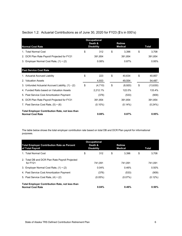| <b>Occupational</b><br>Death &<br><b>Retiree</b>                                  |                   |            |    |                |    |            |  |  |  |
|-----------------------------------------------------------------------------------|-------------------|------------|----|----------------|----|------------|--|--|--|
| <b>Normal Cost Rate</b>                                                           | <b>Disability</b> |            |    | <b>Medical</b> |    | Total      |  |  |  |
| 1. Total Normal Cost                                                              | \$                | 312        | \$ | 3,396          | \$ | 3,708      |  |  |  |
| 2. DCR Plan Rate Payroll Projected for FY21                                       |                   | 391,854    |    | 391,854        |    | 391,854    |  |  |  |
| 3. Employer Normal Cost Rate, $(1) \div (2)$                                      |                   | 0.08%      |    | 0.87%          |    | 0.95%      |  |  |  |
|                                                                                   |                   |            |    |                |    |            |  |  |  |
| <b>Past Service Cost Rate</b>                                                     |                   |            |    |                |    |            |  |  |  |
| 1. Actuarial Accrued Liability                                                    | \$                | 223        | \$ | 40,634         | \$ | 40,857     |  |  |  |
| 2. Valuation Assets                                                               |                   | 4,933      |    | 49,554         |    | 54,487     |  |  |  |
| 3. Unfunded Actuarial Accrued Liability, (1) - (2)                                | \$                | (4,710)    | \$ | (8,920)        | \$ | (13,630)   |  |  |  |
| 4. Funded Ratio based on Valuation Assets                                         |                   | 2,212.1%   |    | 122.0%         |    | 133.4%     |  |  |  |
| 5. Past Service Cost Amortization Payment                                         |                   | (376)      |    | (533)          |    | (909)      |  |  |  |
| 6. DCR Plan Rate Payroll Projected for FY21                                       |                   | 391,854    |    | 391,854        |    | 391,854    |  |  |  |
| 7. Past Service Cost Rate, $(5) \div (6)$                                         |                   | $(0.10\%)$ |    | $(0.14\%)$     |    | $(0.24\%)$ |  |  |  |
| <b>Total Employer Contribution Rate, not less than</b><br><b>Normal Cost Rate</b> |                   | 0.08%      |    | 0.87%          |    | 0.95%      |  |  |  |

# Section 1.2: Actuarial Contributions as of June 30, 2020 for FY23 (\$'s in 000's)

The table below shows the total employer contribution rate based on total DB and DCR Plan payroll for informational purposes.

| <b>Total Employer Contribution Rate as Percent</b><br>of Total Payroll            | <b>Occupational</b><br>Death &<br><b>Disability</b> |            | <b>Retiree</b><br><b>Medical</b> | Total       |
|-----------------------------------------------------------------------------------|-----------------------------------------------------|------------|----------------------------------|-------------|
| 1. Total Normal Cost                                                              | \$                                                  | 312        | \$<br>3.396                      | \$<br>3.708 |
| 2. Total DB and DCR Plan Rate Payroll Projected<br>for FY21                       |                                                     | 741.091    | 741.091                          | 741.091     |
| 3. Employer Normal Cost Rate, $(1) \div (2)$                                      |                                                     | 0.04%      | 0.46%                            | 0.50%       |
| 4. Past Service Cost Amortization Payment                                         |                                                     | (376)      | (533)                            | (909)       |
| 5. Past Service Cost Rate, $(4) \div (2)$                                         |                                                     | $(0.05\%)$ | $(0.07\%)$                       | $(0.12\%)$  |
| <b>Total Employer Contribution Rate, not less than</b><br><b>Normal Cost Rate</b> |                                                     | 0.04%      | 0.46%                            | 0.50%       |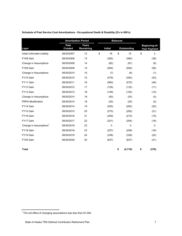|                                    |                               | <b>Amortization Period</b> |                | <b>Balances</b> |       |                                      |
|------------------------------------|-------------------------------|----------------------------|----------------|-----------------|-------|--------------------------------------|
| Layer                              | <b>Date</b><br><b>Created</b> | Years<br>Remaining         | <b>Initial</b> | Outstanding     |       | Beginning-of-<br><b>Year Payment</b> |
| Initial Unfunded Liability         | 06/30/2007                    | 12                         | \$<br>16       | \$              | 15    | \$<br>$\overline{2}$                 |
| FY08 Gain                          | 06/30/2008                    | 13                         | (392)          |                 | (380) | (38)                                 |
| Change in Assumptions              | 06/30/2009                    | 14                         | (82)           |                 | (81)  | (8)                                  |
| FY09 Gain                          | 06/30/2009                    | 14                         | (594)          |                 | (592) | (55)                                 |
| Change in Assumptions              | 06/30/2010                    | 15                         | (7)            |                 | (8)   | (1)                                  |
| FY10 Gain                          | 06/30/2010                    | 15                         | (479)          |                 | (483) | (43)                                 |
| FY11 Gain                          | 06/30/2011                    | 16                         | (560)          |                 | (570) | (49)                                 |
| FY12 Gain                          | 06/30/2012                    | 17                         | (129)          |                 | (133) | (11)                                 |
| FY13 Gain                          | 06/30/2013                    | 18                         | (149)          |                 | (152) | (12)                                 |
| Change in Assumptions              | 06/30/2014                    | 19                         | (50)           |                 | (53)  | (4)                                  |
| <b>PRPA Modification</b>           | 06/30/2014                    | 19                         | (25)           |                 | (25)  | (2)                                  |
| FY14 Gain                          | 06/30/2014                    | 19                         | (255)          |                 | (262) | (20)                                 |
| FY15 Gain                          | 06/30/2015                    | 20                         | (275)          |                 | (282) | (21)                                 |
| FY16 Gain                          | 06/30/2016                    | 21                         | (209)          |                 | (215) | (15)                                 |
| FY17 Gain                          | 06/30/2017                    | 22                         | (251)          |                 | (254) | (18)                                 |
| Change in Assumptions <sup>1</sup> | 06/30/2018                    | 23                         | 0              |                 | 0     | 0                                    |
| FY18 Gain                          | 06/30/2018                    | 23                         | (257)          |                 | (259) | (18)                                 |
| FY19 Gain                          | 06/30/2019                    | 24                         | (338)          |                 | (339) | (22)                                 |
| FY20 Gain                          | 06/30/2020                    | 25                         | (637)          |                 | (637) | (41)                                 |
| <b>Total</b>                       |                               |                            |                | \$<br>(4, 710)  |       | \$<br>(376)                          |

**Schedule of Past Service Cost Amortizations - Occupational Death & Disability (\$'s in 000's)**

 $1$ <sup>1</sup> The net effect of changing assumptions was less than \$1,000.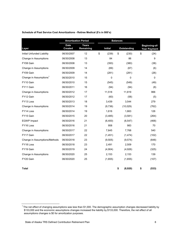|                                    |                               | <b>Amortization Period</b> |                | <b>Balances</b> |    |                                      |  |  |
|------------------------------------|-------------------------------|----------------------------|----------------|-----------------|----|--------------------------------------|--|--|
| Layer                              | <b>Date</b><br><b>Created</b> | Years<br>Remaining         | <b>Initial</b> | Outstanding     |    | Beginning-of-<br><b>Year Payment</b> |  |  |
| Initial Unfunded Liability         | 06/30/2007                    | 12                         | \$<br>(239)    | \$<br>(230)     | \$ | (24)                                 |  |  |
| Change in Assumptions              | 06/30/2008                    | 13                         | 84             | 86              |    | 9                                    |  |  |
| FY08 Gain                          | 06/30/2008                    | 13                         | (393)          | (380)           |    | (38)                                 |  |  |
| Change in Assumptions              | 06/30/2009                    | 14                         | (69)           | (67)            |    | (6)                                  |  |  |
| FY09 Gain                          | 06/30/2009                    | 14                         | (281)          | (281)           |    | (26)                                 |  |  |
| Change in Assumptions <sup>1</sup> | 06/30/2010                    | 15                         | 0              | 0               |    | 0                                    |  |  |
| FY10 Gain                          | 06/30/2010                    | 15                         | (545)          | (549)           |    | (49)                                 |  |  |
| FY11 Gain                          | 06/30/2011                    | 16                         | (94)           | (94)            |    | (8)                                  |  |  |
| Change in Assumptions              | 06/30/2012                    | 17                         | 11,518         | 11,819          |    | 966                                  |  |  |
| FY12 Gain                          | 06/30/2012                    | 17                         | (60)           | (58)            |    | (5)                                  |  |  |
| FY13 Loss                          | 06/30/2013                    | 18                         | 3,439          | 3,544           |    | 279                                  |  |  |
| Change in Assumptions              | 06/30/2014                    | 19                         | (9,736)        | (10,029)        |    | (762)                                |  |  |
| FY14 Loss                          | 06/30/2014                    | 19                         | 1,616          | 1,663           |    | 126                                  |  |  |
| FY15 Gain                          | 06/30/2015                    | 20                         | (3, 485)       | (3,581)         |    | (264)                                |  |  |
| <b>EGWP</b> Impact                 | 06/30/2016                    | 21                         | (6,400)        | (6, 547)        |    | (468)                                |  |  |
| FY16 Loss                          | 06/30/2016                    | 21                         | 958            | 983             |    | 70                                   |  |  |
| Change in Assumptions              | 06/30/2017                    | 22                         | 7,645          | 7,768           |    | 540                                  |  |  |
| FY17 Gain                          | 06/30/2017                    | 22                         | (1,451)        | (1, 474)        |    | (102)                                |  |  |
| Change in Assumptions/Methods      | 06/30/2018                    | 23                         | (9, 505)       | (9, 574)        |    | (648)                                |  |  |
| FY18 Loss                          | 06/30/2018                    | 23                         | 2,491          | 2,509           |    | 170                                  |  |  |
| FY19 Gain                          | 06/30/2019                    | 24                         | (4,904)        | (4,926)         |    | (325)                                |  |  |
| Change in Assumptions              | 06/30/2020                    | 25                         | 2,153          | 2,153           |    | 139                                  |  |  |
| FY20 Gain                          | 06/30/2020                    | 25                         | (1,655)        | (1,655)         |    | (107)                                |  |  |
| Total                              |                               |                            |                | \$<br>(8,920)   | \$ | (533)                                |  |  |

#### **Schedule of Past Service Cost Amortizations - Retiree Medical (\$'s in 000's)**

 $1$ The net effect of changing assumptions was less than \$1,000. The demographic assumption changes decreased liability by \$133,000 and the economic assumptions changes increased the liability by \$133,000. Therefore, the net effect of all assumptions changes is \$0 for amortization purposes.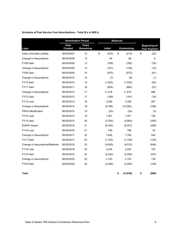|                               |                               | <b>Amortization Period</b> |                | <b>Balances</b> |                    |    |                                      |
|-------------------------------|-------------------------------|----------------------------|----------------|-----------------|--------------------|----|--------------------------------------|
| Layer                         | <b>Date</b><br><b>Created</b> | Years<br>Remaining         | <b>Initial</b> |                 | <b>Outstanding</b> |    | Beginning-of-<br><b>Year Payment</b> |
| Initial Unfunded Liability    | 06/30/2007                    | 12                         | \$<br>(223)    | \$              | (215)              | \$ | (22)                                 |
| Change in Assumptions         | 06/30/2008                    | 13                         | 84             |                 | 86                 |    | 9                                    |
| FY08 Gain                     | 06/30/2008                    | 13                         | (785)          |                 | (760)              |    | (76)                                 |
| Change in Assumptions         | 06/30/2009                    | 14                         | (151)          |                 | (148)              |    | (14)                                 |
| FY09 Gain                     | 06/30/2009                    | 14                         | (875)          |                 | (873)              |    | (81)                                 |
| Change in Assumptions         | 06/30/2010                    | 15                         | (7)            |                 | (8)                |    | (1)                                  |
| FY10 Gain                     | 06/30/2010                    | 15                         | (1,024)        |                 | (1,032)            |    | (92)                                 |
| FY11 Gain                     | 06/30/2011                    | 16                         | (654)          |                 | (664)              |    | (57)                                 |
| Change in Assumptions         | 06/30/2012                    | 17                         | 11,518         |                 | 11,819             |    | 966                                  |
| FY12 Gain                     | 06/30/2012                    | 17                         | (189)          |                 | (191)              |    | (16)                                 |
| FY13 Loss                     | 06/30/2013                    | 18                         | 3,290          |                 | 3,392              |    | 267                                  |
| Change in Assumptions         | 06/30/2014                    | 19                         | (9,786)        |                 | (10,082)           |    | (766)                                |
| <b>PRPA Modification</b>      | 06/30/2014                    | 19                         | (25)           |                 | (25)               |    | (2)                                  |
| FY14 Loss                     | 06/30/2014                    | 19                         | 1,361          |                 | 1,401              |    | 106                                  |
| FY15 Gain                     | 06/30/2015                    | 20                         | (3,760)        |                 | (3,863)            |    | (285)                                |
| <b>EGWP</b> Impact            | 06/30/2016                    | 21                         | (6,400)        |                 | (6, 547)           |    | (468)                                |
| FY16 Loss                     | 06/30/2016                    | 21                         | 749            |                 | 768                |    | 55                                   |
| Change in Assumptions         | 06/30/2017                    | 22                         | 7,645          |                 | 7,768              |    | 540                                  |
| FY17 Gain                     | 06/30/2017                    | 22                         | (1,702)        |                 | (1,728)            |    | (120)                                |
| Change in Assumptions/Methods | 06/30/2018                    | 23                         | (9, 505)       |                 | (9, 574)           |    | (648)                                |
| FY18 Loss                     | 06/30/2018                    | 23                         | 2,234          |                 | 2,250              |    | 152                                  |
| FY19 Gain                     | 06/30/2019                    | 24                         | (5,242)        |                 | (5,265)            |    | (347)                                |
| Change in Assumptions         | 06/30/2020                    | 25                         | 2,153          |                 | 2,153              |    | 139                                  |
| FY20 Gain                     | 06/30/2020                    | 25                         | (2, 292)       |                 | (2,292)            |    | (148)                                |
| Total                         |                               |                            |                | \$              | (13, 630)          | \$ | (909)                                |

#### **Schedule of Past Service Cost Amortizations - Total (\$'s in 000's)**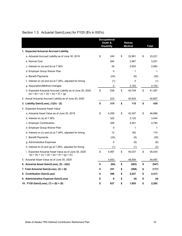|                                                                                                          | <b>Occupational</b><br>Death &<br><b>Disability</b> | <b>Retiree</b><br><b>Medical</b> | <b>Total</b> |
|----------------------------------------------------------------------------------------------------------|-----------------------------------------------------|----------------------------------|--------------|
| 1. Expected Actuarial Accrued Liability                                                                  |                                                     |                                  |              |
| a. Actuarial Accrued Liability as of June 30, 2019                                                       | \$<br>240                                           | \$<br>32,981                     | \$<br>33,221 |
| b. Normal Cost                                                                                           | 284                                                 | 2,967                            | 3,251        |
| c. Interest on (a) and (b) at $7.38\%$                                                                   | 39                                                  | 2,653                            | 2,692        |
| d. Employer Group Waiver Plan                                                                            | 0                                                   | 1                                | 1            |
| e. Benefit Payments                                                                                      | (24)                                                | (6)                              | (30)         |
| f. Interest on (d) and (e) at $7.38\%$ , adjusted for timing                                             | (1)                                                 | 0                                | (1)          |
| g. Assumption/Method Changes                                                                             | 0                                                   | 2,153                            | 2,153        |
| h. Expected Actuarial Accrued Liability as of June 30, 2020<br>$(a) + (b) + (c) + (d) + (e) + (f) + (g)$ | \$<br>538                                           | \$<br>40,749                     | \$<br>41,287 |
| 2. Actual Actuarial Accrued Liability as of June 30, 2020                                                | 223                                                 | 40,634                           | 40,857       |
| 3. Liability Gain/(Loss), (1)(h) - (2)                                                                   | \$<br>315                                           | \$<br>115                        | \$<br>430    |
| 4. Expected Actuarial Asset Value                                                                        |                                                     |                                  |              |
| a. Actuarial Asset Value as of June 30, 2019                                                             | \$<br>4,359                                         | \$<br>42,307                     | \$<br>46,666 |
| b. Interest on $(a)$ at 7.38%                                                                            | 322                                                 | 3,122                            | 3,444        |
| c. Employer Contributions                                                                                | 329                                                 | 4,461                            | 4,790        |
| d. Employer Group Waiver Plan                                                                            | $\mathbf 0$                                         | 1                                | 1            |
| e. Interest on $(c)$ and $(d)$ at 7.38%, adjusted for timing                                             | 12                                                  | 162                              | 174          |
| f. Benefit Payments                                                                                      | (24)                                                | (6)                              | (30)         |
| g. Administrative Expenses                                                                               | 0                                                   | (9)                              | (9)          |
| h. Interest on (f) and (g) at $7.38\%$ , adjusted for timing                                             | (1)                                                 | (1)                              | (2)          |
| i. Expected Actuarial Asset Value as of June 30, 2020<br>$(a) + (b) + (c) + (d) + (e) + (f) + (g) + (h)$ | \$<br>4,997                                         | \$<br>50,037                     | \$<br>55,034 |
| 5. Actuarial Asset Value as of June 30, 2020                                                             | 4,933                                               | 49,554                           | 54,487       |
| 6. Actuarial Asset Gain/(Loss), (5) - (4)(i)                                                             | \$<br>(64)                                          | \$<br>(483)                      | \$<br>(547)  |
| 7. Total Actuarial Gain/(Loss), (3) + (6)                                                                | \$<br>251                                           | \$<br>(368)                      | \$<br>(117)  |
| 8. Contribution Gain/(Loss)                                                                              | \$<br>386                                           | \$<br>2,027                      | \$<br>2,413  |
| 9. Administrative Expense Gain/(Loss)                                                                    | \$<br>0                                             | \$<br>(4)                        | \$<br>(4)    |
| 10. FY20 Gain/(Loss), (7) + (8) + (9)                                                                    | \$<br>637                                           | \$<br>1,655                      | \$<br>2,292  |

# Section 1.3: Actuarial Gain/(Loss) for FY20 (\$'s in 000's)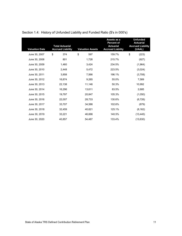| <b>Valuation Date</b> | <b>Total Actuarial</b><br><b>Accrued Liability</b> | <b>Valuation Assets</b> | Assets as a<br><b>Percent of</b><br><b>Actuarial</b><br><b>Accrued Liability</b> | <b>Unfunded</b><br><b>Actuarial</b><br><b>Accrued Liability</b><br>(UAAL) |
|-----------------------|----------------------------------------------------|-------------------------|----------------------------------------------------------------------------------|---------------------------------------------------------------------------|
| June 30, 2007         | \$<br>374                                          | \$<br>597               | 159.7%                                                                           | \$<br>(223)                                                               |
| June 30, 2008         | 801                                                | 1,728                   | 215.7%                                                                           | (927)                                                                     |
| June 30, 2009         | 1,460                                              | 3,424                   | 234.5%                                                                           | (1,964)                                                                   |
| June 30, 2010         | 2,448                                              | 5,472                   | 223.5%                                                                           | (3,024)                                                                   |
| June 30, 2011         | 3,858                                              | 7,566                   | 196.1%                                                                           | (3,708)                                                                   |
| June 30, 2012         | 16,874                                             | 9,285                   | 55.0%                                                                            | 7,589                                                                     |
| June 30, 2013         | 22,138                                             | 11,146                  | 50.3%                                                                            | 10,992                                                                    |
| June 30, 2014         | 16,296                                             | 13,611                  | 83.5%                                                                            | 2,685                                                                     |
| June 30, 2015         | 19,797                                             | 20,847                  | 105.3%                                                                           | (1,050)                                                                   |
| June 30, 2016         | 22,007                                             | 28,733                  | 130.6%                                                                           | (6, 726)                                                                  |
| June 30, 2017         | 33,707                                             | 34,586                  | 102.6%                                                                           | (879)                                                                     |
| June 30, 2018         | 32,459                                             | 40,621                  | 125.1%                                                                           | (8, 162)                                                                  |
| June 30, 2019         | 33,221                                             | 46,666                  | 140.5%                                                                           | (13, 445)                                                                 |
| June 30, 2020         | 40,857                                             | 54,487                  | 133.4%                                                                           | (13, 630)                                                                 |

# Section 1.4: History of Unfunded Liability and Funded Ratio (\$'s in 000's)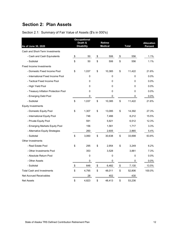# **Section 2: Plan Assets**

| As of June 30, 2020                  |      | <b>Occupational</b><br>Death &<br><b>Disability</b> |      | <b>Retiree</b><br><b>Medical</b> |                   | <b>Total</b> | <b>Allocation</b><br>Percent |
|--------------------------------------|------|-----------------------------------------------------|------|----------------------------------|-------------------|--------------|------------------------------|
| Cash and Short-Term Investments      |      |                                                     |      |                                  |                   |              |                              |
| - Cash and Cash Equivalents          | \$   | 50                                                  | \$   | 506                              | \$                | 556          | 1.1%                         |
| - Subtotal                           | \$   | 50                                                  | \$   | 506                              | \$                | 556          | 1.1%                         |
| <b>Fixed Income Investments</b>      |      |                                                     |      |                                  |                   |              |                              |
| - Domestic Fixed Income Pool         | \$   | 1,037                                               | \$   | 10,385                           | \$                | 11,422       | 21.6%                        |
| - International Fixed Income Pool    |      | 0                                                   |      | 0                                |                   | 0            | 0.0%                         |
| - Tactical Fixed Income Pool         |      | 0                                                   |      | 0                                |                   | 0            | 0.0%                         |
| - High Yield Pool                    |      | 0                                                   |      | 0                                |                   | 0            | 0.0%                         |
| - Treasury Inflation Protection Pool |      | 0                                                   |      | 0                                |                   | 0            | 0.0%                         |
| - Emerging Debt Pool                 |      | 0                                                   |      | 0                                |                   | 0            | 0.0%                         |
| - Subtotal                           | \$   | 1,037                                               | \$   | 10,385                           | \$                | 11,422       | 21.6%                        |
| <b>Equity Investments</b>            |      |                                                     |      |                                  |                   |              |                              |
| - Domestic Equity Pool               | \$   | 1,307                                               | \$   | 13,085                           | \$                | 14,392       | 27.3%                        |
| - International Equity Pool          |      | 746                                                 |      | 7,466                            |                   | 8.212        | 15.5%                        |
| - Private Equity Pool                |      | 591                                                 |      | 5,921                            |                   | 6,512        | 12.3%                        |
| - Emerging Markets Equity Pool       |      | 156                                                 |      | 1,561                            |                   | 1,717        | 3.3%                         |
| - Alternative Equity Strategies      |      | 260                                                 |      | 2,605                            |                   | 2,865        | 5.4%                         |
| - Subtotal                           | \$   | 3,060                                               | \$   | 30,638                           | \$                | 33,698       | 63.8%                        |
| <b>Other Investments</b>             |      |                                                     |      |                                  |                   |              |                              |
| - Real Estate Pool                   | \$   | 295                                                 | \$   | 2,954                            | \$                | 3,249        | 6.2%                         |
| - Other Investments Pool             |      | 353                                                 |      | 3,528                            |                   | 3,881        | 7.3%                         |
| - Absolute Return Pool               |      | 0                                                   |      | $\mathbf{0}$                     |                   | $\Omega$     | 0.0%                         |
| - Other Assets                       |      | 0                                                   |      | 0                                |                   | 0            | $0.0\%$                      |
| - Subtotal                           | $\,$ | 648                                                 | $\,$ | 6,482                            | $\boldsymbol{\$}$ | 7,130        | 13.5%                        |
| <b>Total Cash and Investments</b>    | \$   | 4,795                                               | \$   | 48,011                           | \$                | 52,806       | 100.0%                       |
| <b>Net Accrued Receivables</b>       |      | 28                                                  |      | 402                              |                   | 430          |                              |
| <b>Net Assets</b>                    | \$   | 4,823                                               | \$   | 48,413                           | \$                | 53,236       |                              |

Section 2.1: Summary of Fair Value of Assets (\$'s in 000's)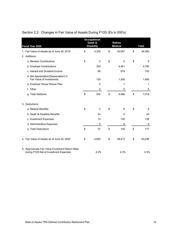| <b>Fiscal Year 2020</b>                                                                    | <b>Occupational</b><br>Death &<br><b>Disability</b> | <b>Retiree</b><br><b>Medical</b> | <b>Total</b> |
|--------------------------------------------------------------------------------------------|-----------------------------------------------------|----------------------------------|--------------|
| 1. Fair Value of Assets as of June 30, 2019                                                | \$<br>4,328                                         | \$<br>42,067                     | \$<br>46,395 |
| 2. Additions:                                                                              |                                                     |                                  |              |
| a. Member Contributions                                                                    | \$<br>$\mathbf 0$                                   | \$<br>$\mathbf 0$                | \$<br>0      |
| b. Employer Contributions                                                                  | 329                                                 | 4,461                            | 4,790        |
| c. Interest and Dividend Income                                                            | 68                                                  | 674                              | 742          |
| d. Net Appreciation/(Depreciation) in<br><b>Fair Value of Investments</b>                  | 135                                                 | 1,350                            | 1,485        |
| e. Employer Group Waiver Plan                                                              | 0                                                   | 1                                | 1            |
| f. Other                                                                                   | 0                                                   | 0                                | 0            |
| g. Total Additions                                                                         | \$<br>532                                           | \$<br>6,486                      | \$<br>7,018  |
| 3. Deductions:                                                                             |                                                     |                                  |              |
| a. Medical Benefits                                                                        | \$<br>0                                             | \$<br>6                          | \$<br>6      |
| b. Death & Disability Benefits                                                             | 24                                                  | $\Omega$                         | 24           |
| c. Investment Expenses                                                                     | 13                                                  | 125                              | 138          |
| d. Administrative Expenses                                                                 | 0                                                   | 9                                | 9            |
| e. Total Deductions                                                                        | \$<br>37                                            | \$<br>140                        | \$<br>177    |
| 4. Fair Value of Assets as of June 30, 2020                                                | \$<br>4,823                                         | \$<br>48,413                     | \$<br>53,236 |
| 5. Approximate Fair Value Investment Return Rate<br>during FY20 Net of Investment Expenses | 4.2%                                                | 4.3%                             | 4.3%         |

# Section 2.2: Changes in Fair Value of Assets During FY20 (\$'s in 000's)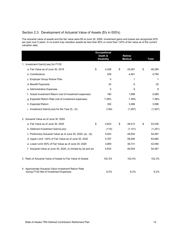# Section 2.3: Development of Actuarial Value of Assets (\$'s in 000's)

The actuarial value of assets and the fair value were \$0 at June 30, 2006. Investment gains and losses are recognized 20% per year over 5 years. In no event may valuation assets be less than 80% or more than 120% of fair value as of the current valuation date.

|                                                                                                 | <b>Occupational</b><br>Death &<br><b>Disability</b> | <b>Retiree</b><br><b>Medical</b> | <b>Total</b> |
|-------------------------------------------------------------------------------------------------|-----------------------------------------------------|----------------------------------|--------------|
| 1. Investment Gain/(Loss) for FY20                                                              |                                                     |                                  |              |
| a. Fair Value as of June 30, 2019                                                               | \$<br>4,328                                         | \$<br>42,067                     | \$<br>46,395 |
| b. Contributions                                                                                | 329                                                 | 4,461                            | 4,790        |
| c. Employer Group Waiver Plan                                                                   | 0                                                   | 1                                | 1            |
| d. Benefit Payments                                                                             | 24                                                  | 6                                | 30           |
| e. Administrative Expenses                                                                      | $\Omega$                                            | 9                                | 9            |
| f. Actual Investment Return (net of investment expenses)                                        | 190                                                 | 1,899                            | 2,089        |
| g. Expected Return Rate (net of investment expenses)                                            | 7.38%                                               | 7.38%                            | 7.38%        |
| h. Expected Return                                                                              | 330                                                 | 3,266                            | 3,596        |
| i. Investment Gain/(Loss) for the Year $(f)$ - $(h)$                                            | (140)                                               | (1,367)                          | (1,507)      |
| 2. Actuarial Value as of June 30, 2020                                                          |                                                     |                                  |              |
| a. Fair Value as of June 30, 2020                                                               | \$<br>4,823                                         | \$<br>48,413                     | \$<br>53,236 |
| b. Deferred Investment Gain/(Loss)                                                              | (110)                                               | (1, 141)                         | (1,251)      |
| c. Preliminary Actuarial Value as of June 30, 2020, (a) - (b)                                   | 4,933                                               | 49,554                           | 54,487       |
| d. Upper Limit: 120% of Fair Value as of June 30, 2020                                          | 5,787                                               | 58,095                           | 63,882       |
| e. Lower Limit: 80% of Fair Value as of June 30, 2020                                           | 3,859                                               | 38,731                           | 42,590       |
| f. Actuarial Value at June 30, 2020, (c) limited by (d) and (e)                                 | 4,933                                               | 49,554                           | 54,487       |
| 3. Ratio of Actuarial Value of Assets to Fair Value of Assets                                   | 102.3%                                              | 102.4%                           | 102.3%       |
| 4. Approximate Actuarial Value Investment Return Rate<br>during FY20 Net of Investment Expenses | 6.0%                                                | 6.3%                             | 6.3%         |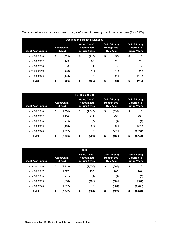|                           |                               | <b>Occupational Death &amp; Disability</b>    |                                                 |                                                     |
|---------------------------|-------------------------------|-----------------------------------------------|-------------------------------------------------|-----------------------------------------------------|
| <b>Fiscal Year Ending</b> | <b>Asset Gain /</b><br>(Loss) | Gain / (Loss)<br>Recognized<br>in Prior Years | Gain / (Loss)<br>Recognized<br><b>This Year</b> | Gain / (Loss)<br>Deferred to<br><b>Future Years</b> |
| June 30, 2016             | \$<br>(269)                   | \$<br>(216)                                   | \$<br>(53)                                      | \$<br>0                                             |
| June 30, 2017             | 143                           | 87                                            | 28                                              | 28                                                  |
| June 30, 2018             | 8                             | 4                                             | $\overline{2}$                                  | 2                                                   |
| June 30, 2019             | (48)                          | (10)                                          | (10)                                            | (28)                                                |
| June 30, 2020             | (140)                         | 0                                             | (28)                                            | (112)                                               |
| Total                     | \$<br>(306)                   | \$<br>(135)                                   | \$<br>(61)                                      | \$<br>(110)                                         |

The tables below show the development of the gains/(losses) to be recognized in the current year (\$'s in 000's):

|                           |                               | <b>Retiree Medical</b>                        |                                                 |                                                     |
|---------------------------|-------------------------------|-----------------------------------------------|-------------------------------------------------|-----------------------------------------------------|
| <b>Fiscal Year Ending</b> | <b>Asset Gain /</b><br>(Loss) | Gain / (Loss)<br>Recognized<br>in Prior Years | Gain / (Loss)<br>Recognized<br><b>This Year</b> | Gain / (Loss)<br>Deferred to<br><b>Future Years</b> |
| June 30, 2016             | \$<br>(1,674)                 | \$<br>(1,340)                                 | \$<br>(334)                                     | \$<br>0                                             |
| June 30, 2017             | 1.184                         | 711                                           | 237                                             | 236                                                 |
| June 30, 2018             | (19)                          | (8)                                           | (4)                                             | (7)                                                 |
| June 30, 2019             | (460)                         | (92)                                          | (92)                                            | (276)                                               |
| June 30, 2020             | (1,367)                       | 0                                             | (273)                                           | (1,094)                                             |
| <b>Total</b>              | \$<br>(2, 336)                | \$<br>(729)                                   | \$<br>(466)                                     | \$<br>(1, 141)                                      |

|                           |                               | Total                                                |                                                        |                                                     |
|---------------------------|-------------------------------|------------------------------------------------------|--------------------------------------------------------|-----------------------------------------------------|
| <b>Fiscal Year Ending</b> | <b>Asset Gain /</b><br>(Loss) | Gain / (Loss)<br><b>Recognized</b><br>in Prior Years | Gain / (Loss)<br><b>Recognized</b><br><b>This Year</b> | Gain / (Loss)<br>Deferred to<br><b>Future Years</b> |
| June 30, 2016             | \$<br>(1,943)                 | \$<br>(1,556)                                        | \$<br>(387)                                            | \$<br>0                                             |
| June 30, 2017             | 1.327                         | 798                                                  | 265                                                    | 264                                                 |
| June 30, 2018             | (11)                          | (4)                                                  | (2)                                                    | (5)                                                 |
| June 30, 2019             | (508)                         | (102)                                                | (102)                                                  | (304)                                               |
| June 30, 2020             | (1,507)                       | 0                                                    | (301)                                                  | (1,206)                                             |
| Total                     | \$<br>(2,642)                 | \$<br>(864)                                          | \$<br>(527)                                            | \$<br>(1,251)                                       |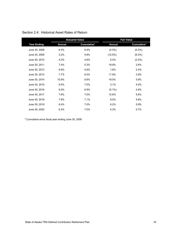|                    |               | <b>Actuarial Value</b> |               | <b>Fair Value</b> |
|--------------------|---------------|------------------------|---------------|-------------------|
| <b>Year Ending</b> | <b>Annual</b> | Cumulative*            | <b>Annual</b> | Cumulative*       |
| June 30, 2008      | 6.4%          | 6.4%                   | $(0.3\%)$     | $(0.3\%)$         |
| June 30, 2009      | 3.2%          | 4.8%                   | $(12.0\%)$    | $(6.3\%)$         |
| June 30, 2010      | 4.2%          | 4.6%                   | 6.4%          | (2.3%)            |
| June 30, 2011      | 7.4%          | 5.3%                   | 18.9%         | 2.6%              |
| June 30, 2012      | 6.9%          | 5.6%                   | 1.6%          | 2.4%              |
| June 30, 2013      | 7.7%          | 6.0%                   | 11.9%         | 3.9%              |
| June 30, 2014      | 10.9%         | 6.6%                   | 18.0%         | 5.8%              |
| June 30, 2015      | 9.5%          | 7.0%                   | 3.1%          | 5.5%              |
| June 30, 2016      | 6.5%          | 6.9%                   | $(0.1\%)$     | 4.9%              |
| June 30, 2017      | 7.6%          | 7.0%                   | 12.6%         | 5.6%              |
| June 30, 2018      | 7.8%          | 7.1%                   | 8.0%          | 5.8%              |
| June 30, 2019      | 6.4%          | 7.0%                   | 6.2%          | 5.9%              |
| June 30, 2020      | 6.3%          | 7.0%                   | 4.3%          | 5.7%              |

# Section 2.4: Historical Asset Rates of Return

\* Cumulative since fiscal year ending June 30, 2008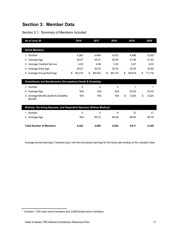# **Section 3: Member Data**

## Section 3.1: Summary of Members Included

| As of June 30                                                        | 2016         | 2017         | 2018         | 2019         | 2020         |
|----------------------------------------------------------------------|--------------|--------------|--------------|--------------|--------------|
|                                                                      |              |              |              |              |              |
| <b>Active Members</b>                                                |              |              |              |              |              |
| 1. Number                                                            | 4,383        | 4,694        | 4,915        | 4,998        | $5,332^{1}$  |
| 2. Average Age                                                       | 39.57        | 40.21        | 40.64        | 41.06        | 41.63        |
| 3. Average Credited Service                                          | 4.50         | 4.88         | 5.30         | 5.67         | 6.03         |
| 4. Average Entry Age                                                 | 35.07        | 35.33        | 35.34        | 35.39        | 35.60        |
| 5. Average Annual Earnings                                           | 65,219<br>\$ | \$<br>66,542 | \$<br>68,119 | 69,619<br>\$ | 71,118<br>\$ |
|                                                                      |              |              |              |              |              |
| Disabilitants and Beneficiaries (Occupational Death & Disability)    |              |              |              |              |              |
| 1. Number                                                            | 0            | $\mathbf{0}$ | 0            | 1            | 1            |
| 2. Average Age                                                       | N/A          | N/A          | N/A          | 53.45        | 54.45        |
| 3. Average Monthly Death & Disability                                | N/A          | N/A          | N/A          | \$<br>2,024  | \$<br>2,024  |
| <b>Benefit</b>                                                       |              |              |              |              |              |
| Retirees, Surviving Spouses, and Dependent Spouses (Retiree Medical) |              |              |              |              |              |
|                                                                      |              |              |              |              |              |
| 1. Number                                                            | $\mathbf 0$  | 4            | 9            | 12           | 17           |
| 2. Average Age                                                       | N/A          | 69.72        | 68.59        | 68.54        | 68.79        |
|                                                                      |              |              |              |              |              |
| <b>Total Number of Members</b>                                       | 4,383        | 4.698        | 4,924        | 5,011        | 5,350        |

Average annual earnings ("valuation pay") are the annualized earnings for the fiscal year ending on the valuation date.

 $^1$  Includes 1,376 male active members and 3,956 female active members.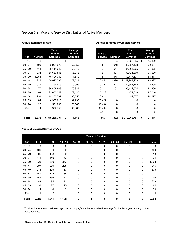| Age       | <b>Number</b> | Total<br>Annual<br><b>Earnings</b> | Average<br>Annual<br><b>Earnings</b> | <b>Years of</b><br><b>Service</b> | <b>Number</b> | Total<br>Annual<br><b>Earnings</b> |
|-----------|---------------|------------------------------------|--------------------------------------|-----------------------------------|---------------|------------------------------------|
| $0 - 19$  | $\mathbf 0$   | \$<br>0                            | \$<br>$\mathbf 0$                    | $\mathbf 0$                       | 134           | \$<br>7,253,235                    |
| $20 - 24$ | 100           | 5,264,970                          | 52,650                               | 1                                 | 646           | 39,337,478                         |
| $25 - 29$ | 613           | 36,111,642                         | 58,910                               | 2                                 | 574           | 37,066,265                         |
| $30 - 34$ | 934           | 61,660,845                         | 66,018                               | 3                                 | 494           | 32,421,369                         |
| $35 - 39$ | 1,068         | 76,404,382                         | 71,540                               | 4                                 | 478           | 32,777,831                         |
| $40 - 44$ | 815           | 59,917,766                         | 73,519                               | $0 - 4$                           | 2,326         | \$148,856,178                      |
| 45 - 49   | 575           | 43,754,516                         | 76,095                               | $5 - 9$                           | 1,841         | 134,954,143                        |
| $50 - 54$ | 477           | 36,408,923                         | 76,329                               | $10 - 14$                         | 1,162         | 95,121,574                         |
| $55 - 59$ | 403           | 31,603,348                         | 78,420                               | $15 - 19$                         | 2             | 174,019                            |
| $60 - 64$ | 239           | 19,252,737                         | 80,555                               | $20 - 24$                         | 1             | 94,877                             |
| $65 - 69$ | 84            | 6,907,610                          | 82,233                               | $25 - 29$                         | $\mathbf 0$   | 0                                  |
| 70 - 74   | 20            | 1,531,296                          | 76,565                               | $30 - 34$                         | $\mathbf{0}$  | 0                                  |
| $75+$     | 4             | 382,756                            | 95,689                               | $35 - 39$                         | 0             | 0                                  |
|           |               |                                    |                                      | $40+$                             | 0             | 0                                  |
| Total     | 5,332         | \$379,200,791                      | \$<br>71,118                         | <b>Total</b>                      | 5,332         | \$379,200,791                      |

## Section 3.2: Age and Service Distribution of Active Members

#### **Annual Earnings by Age Annual Earnings by Credited Service**

|        | <b>Total</b>    |                          |                 |                | <b>Total</b>    | Average         |
|--------|-----------------|--------------------------|-----------------|----------------|-----------------|-----------------|
|        | Annual          | <b>Average</b><br>Annual | <b>Years of</b> |                | <b>Annual</b>   | Annual          |
| lumber | <b>Earnings</b> | <b>Earnings</b>          | <b>Service</b>  | <b>Number</b>  | <b>Earnings</b> | <b>Earnings</b> |
| 0      | \$<br>$\Omega$  | \$<br>0                  | $\mathbf 0$     | 134            | \$<br>7,253,235 | \$<br>54,129    |
| 100    | 5,264,970       | 52,650                   | 1               | 646            | 39,337,478      | 60,894          |
| 613    | 36,111,642      | 58,910                   | $\overline{2}$  | 574            | 37,066,265      | 64,575          |
| 934    | 61,660,845      | 66,018                   | 3               | 494            | 32,421,369      | 65,630          |
| 1,068  | 76,404,382      | 71,540                   | 4               | 478            | 32,777,831      | 68,573          |
| 815    | 59,917,766      | 73,519                   | $0 - 4$         | 2,326          | \$148,856,178   | \$<br>63,997    |
| 575    | 43,754,516      | 76,095                   | $5 - 9$         | 1,841          | 134,954,143     | 73,305          |
| 477    | 36,408,923      | 76,329                   | $10 - 14$       | 1,162          | 95,121,574      | 81,860          |
| 403    | 31,603,348      | 78,420                   | $15 - 19$       | $\overline{2}$ | 174,019         | 87,010          |
| 239    | 19,252,737      | 80,555                   | $20 - 24$       | 1              | 94,877          | 94,877          |
| 84     | 6,907,610       | 82,233                   | $25 - 29$       | 0              | 0               | 0               |
| 20     | 1,531,296       | 76,565                   | $30 - 34$       | 0              | 0               | 0               |
| 4      | 382,756         | 95,689                   | $35 - 39$       | 0              | $\Omega$        | 0               |
|        |                 |                          | $40+$           | 0              | $\Omega$        | 0               |
| 5,332  | \$379,200,791   | \$<br>71,118             | <b>Total</b>    | 5,332          | \$379,200,791   | \$<br>71,118    |

#### **Years of Credited Service by Age**

|              |             |         |                |           |           | <b>Years of Service</b> |           |           |              |              |
|--------------|-------------|---------|----------------|-----------|-----------|-------------------------|-----------|-----------|--------------|--------------|
| Age          | $0 - 4$     | $5 - 9$ | $10 - 14$      | $15 - 19$ | $20 - 24$ | $25 - 29$               | $30 - 34$ | $35 - 39$ | $40+$        | <b>Total</b> |
| $0 - 19$     | $\mathbf 0$ | 0       | 0              | $\Omega$  | 0         | $\Omega$                | 0         | $\Omega$  | $\mathbf{0}$ | 0            |
| $20 - 24$    | 100         | 0       | 0              | 0         | 0         | 0                       | 0         | 0         | 0            | 100          |
| $25 - 29$    | 505         | 108     | 0              | 0         | 0         | 0                       | 0         | 0         | 0            | 613          |
| $30 - 34$    | 441         | 440     | 53             | 0         | 0         | 0                       | 0         | $\Omega$  | 0            | 934          |
| $35 - 39$    | 325         | 380     | 363            | 0         | 0         | 0                       | 0         | $\Omega$  | 0            | 1,068        |
| $40 - 44$    | 297         | 289     | 228            |           | 0         | 0                       | 0         | $\Omega$  | $\mathbf{0}$ | 815          |
| $45 - 49$    | 213         | 199     | 163            | U         | 0         | 0                       | 0         | 0         | 0            | 575          |
| $50 - 54$    | 169         | 172     | 135            | U         |           | 0                       | 0         | $\Omega$  | 0            | 477          |
| $55 - 59$    | 146         | 136     | 121            | 0         | 0         | 0                       | 0         | $\Omega$  | 0            | 403          |
| $60 - 64$    | 83          | 84      | 71             |           | 0         | 0                       | 0         | $\Omega$  | 0            | 239          |
| $65 - 69$    | 32          | 27      | 25             | U         | 0         | 0                       | 0         | $\Omega$  | 0            | 84           |
| 70 - 74      | 14          | 4       | $\overline{2}$ | 0         | 0         | 0                       | 0         | 0         | 0            | 20           |
| $75+$        | 1           | 2       |                | 0         | 0         | 0                       | 0         | 0         | 0            | 4            |
| <b>Total</b> | 2,326       | 1,841   | 1,162          | 2         |           | 0                       | 0         | 0         | 0            | 5,332        |

Total and average annual earnings ("valuation pay") are the annualized earnings for the fiscal year ending on the valuation date.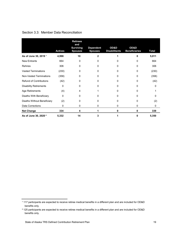|  |  |  | Section 3.3: Member Data Reconciliation |
|--|--|--|-----------------------------------------|
|--|--|--|-----------------------------------------|

|                                  |                | <b>Retirees</b><br>and             |                                    |                              |                              |              |
|----------------------------------|----------------|------------------------------------|------------------------------------|------------------------------|------------------------------|--------------|
|                                  | <b>Actives</b> | <b>Surviving</b><br><b>Spouses</b> | <b>Dependent</b><br><b>Spouses</b> | OD&D<br><b>Disabilitants</b> | OD&D<br><b>Beneficiaries</b> | Total        |
| As of June 30, 2019 <sup>1</sup> | 4,998          | 10                                 | 2                                  |                              | 0                            | 5,011        |
| <b>New Entrants</b>              | 664            | 0                                  | 0                                  | 0                            | 0                            | 664          |
| <b>Rehires</b>                   | 306            | 0                                  | 0                                  | 0                            | 0                            | 306          |
| <b>Vested Terminations</b>       | (230)          | $\Omega$                           | 0                                  | U                            | 0                            | (230)        |
| Non-Vested Terminations          | (358)          | 0                                  | 0                                  | 0                            | 0                            | (358)        |
| <b>Refund of Contributions</b>   | (42)           | 0                                  | U                                  | 0                            | 0                            | (42)         |
| <b>Disability Retirements</b>    | 0              | 0                                  | <sup>0</sup>                       | U                            | 0                            | U            |
| Age Retirements                  | (4)            | 4                                  |                                    | 0                            | 0                            |              |
| Deaths With Beneficiary          | 0              | $\Omega$                           | ი                                  | 0                            | 0                            | O            |
| Deaths Without Beneficiary       | (2)            | 0                                  | 0                                  | 0                            | 0                            | (2)          |
| <b>Data Corrections</b>          | 0              | 0                                  | 0                                  | 0                            | 0                            | $\mathbf{0}$ |
| <b>Net Change</b>                | 334            | 4                                  |                                    | 0                            | 0                            | 339          |
| As of June 30, 2020 <sup>2</sup> | 5,332          | 14                                 | 3                                  |                              | 0                            | 5,350        |

<sup>&</sup>lt;sup>1</sup> 117 participants are expected to receive retiree medical benefits in a different plan and are included for OD&D benefits only.

² 125 participants are expected to receive retiree medical benefits in a different plan and are included for OD&D benefits only.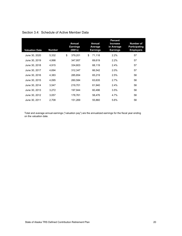| <b>Valuation Date</b> | <b>Number</b> | <b>Annual</b><br><b>Earnings</b><br>(000's) | <b>Annual</b><br>Average<br>Earnings | <b>Percent</b><br><b>Increase</b><br>in Average<br><b>Earnings</b> | <b>Number of</b><br><b>Participating</b><br><b>Employers</b> |
|-----------------------|---------------|---------------------------------------------|--------------------------------------|--------------------------------------------------------------------|--------------------------------------------------------------|
| June 30, 2020         | 5,332         | \$<br>379,201                               | \$<br>71,118                         | 2.2%                                                               | 57                                                           |
| June 30, 2019         | 4,998         | 347,957                                     | 69,619                               | 2.2%                                                               | 57                                                           |
| June 30, 2018         | 4,915         | 334,803                                     | 68,119                               | 2.4%                                                               | 57                                                           |
| June 30, 2017         | 4,694         | 312,347                                     | 66,542                               | 2.0%                                                               | 57                                                           |
| June 30, 2016         | 4,383         | 285,854                                     | 65,219                               | 2.5%                                                               | 58                                                           |
| June 30, 2015         | 4,095         | 260,584                                     | 63,635                               | 2.7%                                                               | 58                                                           |
| June 30, 2014         | 3,547         | 219,701                                     | 61,940                               | 2.4%                                                               | 58                                                           |
| June 30, 2013         | 3,272         | 197,944                                     | 60,496                               | 3.5%                                                               | 58                                                           |
| June 30, 2012         | 3,057         | 178,761                                     | 58,476                               | 4.7%                                                               | 58                                                           |
| June 30, 2011         | 2,708         | 151,269                                     | 55,860                               | 5.6%                                                               | 58                                                           |

## Section 3.4: Schedule of Active Member Data

Total and average annual earnings ("valuation pay") are the annualized earnings for the fiscal year ending on the valuation date.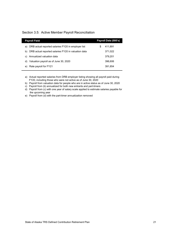#### Section 3.5: Active Member Payroll Reconciliation

| <b>Payroll Field</b>                                      | Payroll Data (000's) |
|-----------------------------------------------------------|----------------------|
| DRB actual reported salaries FY20 in employer list<br>a)  | 411.891<br>S         |
| DRB actual reported salaries FY20 in valuation data<br>b) | 371,022              |
| Annualized valuation data<br>C)                           | 379,201              |
| Valuation payroll as of June 30, 2020<br>d)               | 396,606              |
| Rate payroll for FY21<br>e)                               | 391,854              |
|                                                           |                      |

a) Actual reported salaries from DRB employer listing showing all payroll paid during FY20, including those who were not active as of June 30, 2020

b) Payroll from valuation data for people who are in active status as of June 30, 2020

c) Payroll from (b) annualized for both new entrants and part-timers

d) Payroll from (c) with one year of salary scale applied to estimate salaries payable for the upcoming year

e) Payroll from (d) with the part-timer annualization removed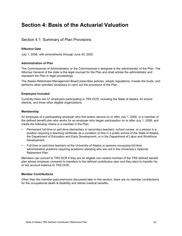# **Section 4: Basis of the Actuarial Valuation**

# Section 4.1: Summary of Plan Provisions

#### **Effective Date**

July 1, 2006, with amendments through June 30, 2020.

#### **Administration of Plan**

The Commissioner of Administration or the Commissioner's designee is the administrator of the Plan. The Attorney General of the state is the legal counsel for the Plan and shall advise the administrator and represent the Plan in legal proceedings.

The Alaska Retirement Management Board prescribes policies, adopts regulations, invests the funds, and performs other activities necessary to carry out the provisions of the Plan.

#### **Employers Included**

Currently there are 57 employers participating in TRS DCR, including the State of Alaska, 53 school districts, and three other eligible organizations.

#### **Membership**

An employee of a participating employer who first enters service on or after July 1, 2006, or a member of the defined benefit plan who works for an employer who began participation on or after July 1, 2006, and meets the following criteria is a member in the Plan:

- Permanent full-time or part-time elementary or secondary teachers, school nurses, or a person in a position requiring a teaching certificate as a condition of hire in a public school of the State of Alaska, the Department of Education and Early Development, or in the Department of Labor and Workforce Development.
- Full-time or part-time teachers at the University of Alaska or persons occupying full-time administrative positions requiring academic standing who are not in the University's Optional Retirement Plan.

Members can convert to TRS DCR if they are an eligible non-vested member of the TRS defined benefit plan whose employer consents to transfers to the defined contribution plan and they elect to transfer his or her account balance to TRS DCR.

#### **Member Contributions**

Other than the member-paid premiums discussed later in this section, there are no member contributions for the occupational death & disability and retiree medical benefits.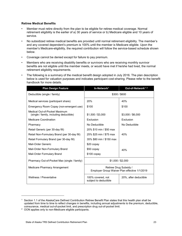#### **Retiree Medical Benefits**

- Member must retire directly from the plan to be eligible for retiree medical coverage. Normal retirement eligibility is the earlier of a) 30 years of service or b) Medicare eligible and 10 years of service.
- No subsidized retiree medical benefits are provided until normal retirement eligibility. The member's and any covered dependent's premium is 100% until the member is Medicare eligible. Upon the member's Medicare-eligibility, the required contribution will follow the service-based schedule shown below.
- Coverage cannot be denied except for failure to pay premium.
- Members who are receiving disability benefits or survivors who are receiving monthly survivor benefits are not eligible until the member meets, or would have met if he/she had lived, the normal retirement eligibility requirements.
- The following is a summary of the medical benefit design adopted in July 2016. The plan description below is used for valuation purposes and indicates participant cost-sharing. Please refer to the benefit handbook for more details.

| <b>Plan Design Feature</b>                                               | In-Network <sup>1</sup><br>Out-of-Network <sup>12</sup>                 |                       |  |  |  |
|--------------------------------------------------------------------------|-------------------------------------------------------------------------|-----------------------|--|--|--|
| Deductible (single / family)                                             | \$300 / \$600                                                           |                       |  |  |  |
| Medical services (participant share)                                     | 20%                                                                     | 40%                   |  |  |  |
| Emergency Room Copay (non-emergent use)                                  | \$100                                                                   | \$100                 |  |  |  |
| Medical Out-of-Pocket Maximum<br>(single / family, including deductible) | \$1,500 / \$3,000                                                       | \$3,000 / \$6,000     |  |  |  |
| <b>Medicare Coordination</b>                                             | Exclusion                                                               | Exclusion             |  |  |  |
| Pharmacy                                                                 | No Deductible                                                           | No Deductible         |  |  |  |
| Retail Generic (per 30-day fill)                                         | 20% \$10 min / \$50 max                                                 |                       |  |  |  |
| Retail Non-Formulary Brand (per 30-day fill)                             | 40%<br>25% \$25 min / \$75 max                                          |                       |  |  |  |
| Retail Formulary Brand (per 30-day fill)                                 | 35% \$80 min / \$150 max                                                |                       |  |  |  |
| Mail-Order Generic                                                       | \$20 copay                                                              |                       |  |  |  |
| Mail-Order Non-Formulary Brand                                           | $$50$ copay<br>40%                                                      |                       |  |  |  |
| Mail-Order Formulary Brand                                               | \$100 copay                                                             |                       |  |  |  |
| Pharmacy Out-of-Pocket Max (single / family)                             | \$1,000 / \$2,000                                                       |                       |  |  |  |
| Medicare Pharmacy Arrangement                                            | Retiree Drug Subsidy /<br>Employer Group Waiver Plan effective 1/1/2019 |                       |  |  |  |
| Wellness / Preventative                                                  | 100% covered, not<br>subject to deductible                              | 20%, after deductible |  |  |  |

-

<span id="page-27-0"></span> $1$  Section 1.1 of the AlaskaCare Defined Contribution Retiree Benefit Plan states that this health plan shall be updated from time to time to reflect changes in benefits, including annual adjustments to the premium, deductible, coinsurance, medical out-of-pocket limit, and prescription drug out-of-pocket limit.

<span id="page-27-1"></span><sup>2</sup> OON applies only to non-Medicare eligible participants.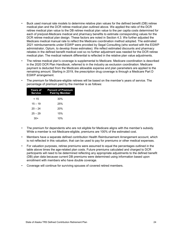- Buck used manual rate models to determine relative plan values for the defined benefit (DB) retiree medical plan and the DCR retiree medical plan outlined above. We applied the ratio of the DCR retiree medical plan value to the DB retiree medical plan value to the per capita costs determined for each of pre/post-Medicare medical and pharmacy benefits to estimate corresponding values for the DCR retiree medical plan design. These factors are noted in Section 4.3. We further adjusted the Medicare medical manual rate to reflect the Medicare coordination method adopted. The estimated 2021 reimbursements under EGWP were provided by Segal Consulting (who worked with the EGWP administrator, Optum, to develop those estimates). We reflect estimated discounts and pharmacy rebates in the defined benefit medical cost so no further adjustment was needed for the DCR retiree medical plan. The medical network differential is reflected in the relative plan value adjustments.
- The retiree medical plan's coverage is supplemental to Medicare. Medicare coordination is described in the 2020 DCR Plan Handbook, referred to in the industry as exclusion coordination: Medicare payment is deducted from the Medicare allowable expense and plan parameters are applied to the remaining amount. Starting in 2019, the prescription drug coverage is through a Medicare Part D EGWP arrangement.
- The premium for Medicare-eligible retirees will be based on the member's years of service. The percentage of premium paid by the member is as follows:

| Years of<br><b>Service</b> | <b>Percent of Premium</b><br><b>Paid by Member</b> |
|----------------------------|----------------------------------------------------|
| < 15                       | 30%                                                |
| $15 - 19$                  | 25%                                                |
| $20 - 24$                  | 20%                                                |
| $25 - 29$                  | 15%                                                |
| 30+                        | 10%                                                |

- The premium for dependents who are not eligible for Medicare aligns with the member's subsidy. While a member is not Medicare-eligible, premiums are 100% of the estimated cost.
- Members have a separate defined contribution Health Reimbursement Arrangement account, which is not reflected in this valuation, that can be used to pay for premiums or other medical expenses.
- For valuation purposes, retiree premiums were assumed to equal the percentages outlined in the table above times the age-related plan costs. Future premiums calculated and charged to DCR participants will need to be determined reflecting any appropriate adjustments to the defined benefit (DB) plan data because current DB premiums were determined using information based upon enrollment with members who have double coverage.
- Coverage will continue for surviving spouses of covered retired members.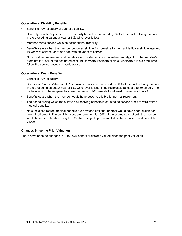#### **Occupational Disability Benefits**

- Benefit is 40% of salary at date of disability.
- Disability Benefit Adjustment: The disability benefit is increased by 75% of the cost of living increase in the preceding calendar year or 9%, whichever is less.
- Member earns service while on occupational disability.
- Benefits cease when the member becomes eligible for normal retirement at Medicare-eligible age and 10 years of service, or at any age with 30 years of service.
- No subsidized retiree medical benefits are provided until normal retirement eligibility. The member's premium is 100% of the estimated cost until they are Medicare eligible. Medicare-eligible premiums follow the service-based schedule above.

#### **Occupational Death Benefits**

- Benefit is 40% of salary.
- Survivor's Pension Adjustment: A survivor's pension is increased by 50% of the cost of living increase in the preceding calendar year or 6%, whichever is less, if the recipient is at least age 60 on July 1, or under age 60 if the recipient has been receiving TRS benefits for at least 8 years as of July 1.
- Benefits cease when the member would have become eligible for normal retirement.
- The period during which the survivor is receiving benefits is counted as service credit toward retiree medical benefits.
- No subsidized retiree medical benefits are provided until the member would have been eligible for normal retirement. The surviving spouse's premium is 100% of the estimated cost until the member would have been Medicare eligible. Medicare-eligible premiums follow the service-based schedule above.

#### **Changes Since the Prior Valuation**

There have been no changes in TRS DCR benefit provisions valued since the prior valuation.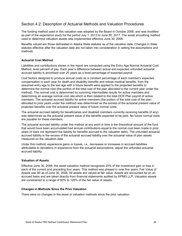# Section 4.2: Description of Actuarial Methods and Valuation Procedures

The funding method used in this valuation was adopted by the Board in October 2006, and was modified as part of the experience study for the period July 1, 2013 to June 30, 2017. The asset smoothing method used to determine valuation assets was implemented effective June 30, 2006.

Benefits valued are those delineated in Alaska State statutes as of the valuation date. Changes in State statutes effective after the valuation date are not taken into consideration in setting the assumptions and methods.

#### **Actuarial Cost Method**

Liabilities and contributions shown in the report are computed using the Entry Age Normal Actuarial Cost Method, level percent of pay. Each year's difference between actual and expected unfunded actuarial accrued liability is amortized over 25 years as a level percentage of expected payroll.

Cost factors designed to produce annual costs as a constant percentage of each member's expected compensation in each year for death and disability benefits and retiree medical benefits, from the assumed entry age to the last age with a future benefit were applied to the projected benefits to determine the normal cost (the portion of the total cost of the plan allocated to the current year under the method). The normal cost is determined by summing intermediate results for active members and determining an average normal cost rate which is then related to the total DCR Plan payroll of active members. The actuarial accrued liability for active members (the portion of the total cost of the plan allocated to prior years under the method) was determined as the excess of the actuarial present value of projected benefits over the actuarial present value of future normal costs.

The actuarial accrued liability for beneficiaries and disabled members currently receiving benefits (if any) was determined as the actuarial present value of the benefits expected to be paid. No future normal costs are payable for these members.

The actuarial accrued liability under this method at any point in time is the theoretical amount of the fund that would have been accumulated had annual contributions equal to the normal cost been made in prior years (it does not represent the liability for benefits accrued to the valuation date). The unfunded actuarial accrued liability is the excess of the actuarial accrued liability over the actuarial value of plan assets measured on the valuation date.

Under this method, experience gains or losses, i.e., decreases or increases in accrued liabilities attributable to deviations in experience from the actuarial assumptions, adjust the unfunded actuarial accrued liability.

#### **Valuation of Assets**

Effective June 30, 2006, the asset valuation method recognizes 20% of the investment gain or loss in each of the current and preceding four years. This method was phased in over five years. Fair Value of Assets was \$0 as of June 30, 2006. All assets are valued at fair value. Assets are accounted for on an accrued basis and are taken directly from financial statements audited by KPMG LLP. Valuation assets are constrained to a range of 80% to 120% of the fair value of assets.

#### **Changes in Methods Since the Prior Valuation**

There were no changes in the asset or valuation methods since the prior valuation.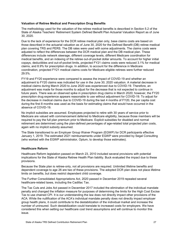#### **Valuation of Retiree Medical and Prescription Drug Benefits**

The methodology used for the valuation of the retiree medical benefits is described in Section 5.2 of the State of Alaska Teachers' Retirement System Defined Benefit Plan Actuarial Valuation Report as of June 30, 2020.

Due to the lack of experience for the DCR retiree medical plan only, base claims costs are based on those described in the actuarial valuation as of June 30, 2020 for the Defined Benefit (DB) retiree medical plan covering TRS and PERS. The DB rates were used with some adjustments. The claims costs were adjusted to reflect the differences between the DCR medical plan and the DB medical plan. These differences include network steerage, different coverage levels, different Medicare coordination for medical benefits, and an indexing of the retiree out-of-pocket dollar amounts. To account for higher initial copays, deductibles and out-of-pocket limits, projected FY21 claims costs were reduced 3.1% for medical claims, and 8.9% for prescription drugs. In addition, to account for the difference in Medicare coordination, projected FY21 medical claims costs for Medicare eligible retirees were further reduced 29.5%.

FY19 and FY20 experience were compared to assess the impact of COVID-19 and whether an adjustment to FY20 claims was indicated for use in the June 30, 2020 valuation. A material decrease in medical claims during March 2020 to June 2020 was experienced due to COVID-19. Therefore, an adjustment was made for those months to adjust for the decrease that is not expected to continue in future years. There was an observed spike in prescription drug claims in March 2020; however, the FY20 prescription drug experience appears reasonable to use without adjustment for COVID-19. To adjust for the decrease in medical claims due to COVID-19 during the last 4 months of FY20, the per capita cost during the first 8 months was used as the basis for estimating claims that would have occurred in the absence of COVID-19.

No implicit subsidies are assumed. Employees projected to retire with 30 years of service prior to Medicare are valued with commencement deferred to Medicare eligibility, because those members will be required to pay the full plan premium prior to Medicare. Explicit subsidies for disabled and normal retirement are determined using the plan-defined percentages of age-related total projected plan costs, again with no implicit subsidy assumed.

The State transitioned to an Employer Group Waiver Program (EGWP) for DCR participants effective January 1, 2019. The estimated 2021 reimbursements under EGWP were provided by Segal Consulting (who worked with the EGWP administrator, Optum, to develop those estimates).

#### **Healthcare Reform**

Healthcare Reform legislation passed on March 23, 2010 included several provisions with potential implications for the State of Alaska Retiree Health Plan liability. Buck evaluated the impact due to these provisions.

Because the State plan is retiree-only, not all provisions are required. Unlimited lifetime benefits and dependent coverage to age 26 are two of these provisions. The adopted DCR plan does not place lifetime limits on benefits, but does restrict dependent child coverage.

The Further Consolidated Appropriations Act, 2020 passed in December 2019 repealed several healthcare-related taxes, including the Cadillac Tax.

The Tax Cuts and Jobs Act passed in December 2017 included the elimination of the individual mandate penalty and changed the inflation measure for purposes of determining the limits for the High Cost Excise Tax to use chained CPI. It is our understanding the law does not directly impact other provisions of the ACA. While the nullification of the ACA's individual mandate penalty does not directly impact employer group health plans, it could contribute to the destabilization of the individual market and increase the number of uninsured. Such destabilization could translate to increased costs for employers. We have considered this when setting our healthcare cost trend assumptions and will continue to monitor this issue.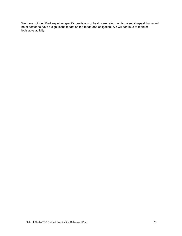We have not identified any other specific provisions of healthcare reform or its potential repeal that would be expected to have a significant impact on the measured obligation. We will continue to monitor legislative activity.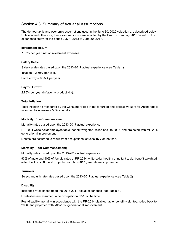# Section 4.3: Summary of Actuarial Assumptions

The demographic and economic assumptions used in the June 30, 2020 valuation are described below. Unless noted otherwise, these assumptions were adopted by the Board in January 2019 based on the experience study for the period July 1, 2013 to June 30, 2017.

#### **Investment Return**

7.38% per year, net of investment expenses.

#### **Salary Scale**

Salary scale rates based upon the 2013-2017 actual experience (see Table 1).

Inflation – 2.50% per year.

Productivity – 0.25% per year.

#### **Payroll Growth**

2.75% per year (inflation + productivity).

#### **Total Inflation**

Total inflation as measured by the Consumer Price Index for urban and clerical workers for Anchorage is assumed to increase 2.50% annually.

#### **Mortality (Pre-Commencement)**

Mortality rates based upon the 2013-2017 actual experience.

RP-2014 white-collar employee table, benefit-weighted, rolled back to 2006, and projected with MP-2017 generational improvement.

Deaths are assumed to result from occupational causes 15% of the time.

#### **Mortality (Post-Commencement)**

Mortality rates based upon the 2013-2017 actual experience.

93% of male and 90% of female rates of RP-2014 white-collar healthy annuitant table, benefit-weighted, rolled back to 2006, and projected with MP-2017 generational improvement.

#### **Turnover**

Select and ultimate rates based upon the 2013-2017 actual experience (see Table 2).

#### **Disability**

Incidence rates based upon the 2013-2017 actual experience (see Table 3).

Disabilities are assumed to be occupational 15% of the time.

Post-disability mortality in accordance with the RP-2014 disabled table, benefit-weighted, rolled back to 2006, and projected with MP-2017 generational improvement.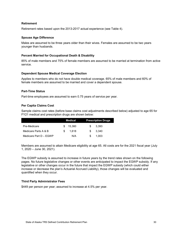#### **Retirement**

Retirement rates based upon the 2013-2017 actual experience (see Table 4).

#### **Spouse Age Difference**

Males are assumed to be three years older than their wives. Females are assumed to be two years younger than husbands.

#### **Percent Married for Occupational Death & Disability**

85% of male members and 75% of female members are assumed to be married at termination from active service.

#### **Dependent Spouse Medical Coverage Election**

Applies to members who do not have double medical coverage. 65% of male members and 60% of female members are assumed to be married and cover a dependent spouse.

#### **Part-Time Status**

Part-time employees are assumed to earn 0.75 years of service per year.

#### **Per Capita Claims Cost**

Sample claims cost rates (before base claims cost adjustments described below) adjusted to age 65 for FY21 medical and prescription drugs are shown below:

|                        |     | Medical |     | <b>Prescription Drugs</b> |
|------------------------|-----|---------|-----|---------------------------|
| Pre-Medicare           | \$. | 15.360  | £.  | 3.393                     |
| Medicare Parts A & B   | \$. | 1.618   | £.  | 3.340                     |
| Medicare Part D - EGWP |     | N/A     | \$. | 1.003                     |

Members are assumed to attain Medicare eligibility at age 65. All costs are for the 2021 fiscal year (July 1, 2020 – June 30, 2021).

The EGWP subsidy is assumed to increase in future years by the trend rates shown on the following pages. No future legislative changes or other events are anticipated to impact the EGWP subsidy. If any legislative or other changes occur in the future that impact the EGWP subsidy (which could either increase or decrease the plan's Actuarial Accrued Liability), those changes will be evaluated and quantified when they occur.

#### **Third Party Administrator Fees**

\$449 per person per year; assumed to increase at 4.5% per year.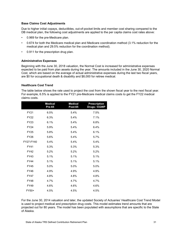#### **Base Claims Cost Adjustments**

Due to higher initial copays, deductibles, out-of-pocket limits and member cost sharing compared to the DB medical plan, the following cost adjustments are applied to the per capita claims cost rates above:

- 0.969 for the pre-Medicare plan.
- 0.674 for both the Medicare medical plan and Medicare coordination method (3.1% reduction for the medical plan and 29.5% reduction for the coordination method).
- 0.911 for the prescription drug plan.

#### **Administrative Expenses**

Beginning with the June 30, 2018 valuation, the Normal Cost is increased for administrative expenses expected to be paid from plan assets during the year. The amounts included in the June 30, 2020 Normal Cost, which are based on the average of actual administrative expenses during the last two fiscal years, are \$0 for occupational death & disability and \$8,000 for retiree medical.

#### **Healthcare Cost Trend**

The table below shows the rate used to project the cost from the shown fiscal year to the next fiscal year. For example, 6.5% is applied to the FY21 pre-Medicare medical claims costs to get the FY22 medical claims costs.

|             | <b>Medical</b><br><b>Pre-65</b> | <b>Medical</b><br><b>Post-65</b> | <b>Prescription</b><br>Drugs / EGWP |
|-------------|---------------------------------|----------------------------------|-------------------------------------|
| FY21        | 6.5%                            | 5.4%                             | 7.5%                                |
| <b>FY22</b> | 6.3%                            | 5.4%                             | 7.1%                                |
| FY23        | 6.1%                            | 5.4%                             | 6.8%                                |
| FY24        | 5.9%                            | 5.4%                             | 6.4%                                |
| <b>FY25</b> | 5.8%                            | 5.4%                             | 6.1%                                |
| FY26        | 5.6%                            | 5.4%                             | 5.7%                                |
| FY27-FY40   | 5.4%                            | 5.4%                             | 5.4%                                |
| FY41        | 5.3%                            | 5.3%                             | 5.3%                                |
| FY42        | 5.2%                            | 5.2%                             | 5.2%                                |
| FY43        | 5.1%                            | 5.1%                             | 5.1%                                |
| FY44        | 5.1%                            | 5.1%                             | 5.1%                                |
| <b>FY45</b> | 5.0%                            | 5.0%                             | 5.0%                                |
| FY46        | 4.9%                            | 4.9%                             | 4.9%                                |
| <b>FY47</b> | 4.8%                            | 4.8%                             | 4.8%                                |
| FY48        | 4.7%                            | 4.7%                             | 4.7%                                |
| <b>FY49</b> | 4.6%                            | 4.6%                             | 4.6%                                |
| FY50+       | 4.5%                            | 4.5%                             | 4.5%                                |

For the June 30, 2014 valuation and later, the updated Society of Actuaries' Healthcare Cost Trend Model is used to project medical and prescription drug costs. This model estimates trend amounts that are projected out for 80 years. The model has been populated with assumptions that are specific to the State of Alaska.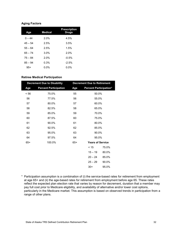#### **Aging Factors**

| Age       | <b>Medical</b> | <b>Prescription</b><br>Drugs |
|-----------|----------------|------------------------------|
| $0 - 44$  | 2.0%           | 4.5%                         |
| $45 - 54$ | 2.5%           | 3.5%                         |
| $55 - 64$ | 2.5%           | 1.5%                         |
| $65 - 74$ | 3.0%           | 2.0%                         |
| $75 - 84$ | 2.0%           | $-0.5%$                      |
| $85 - 94$ | 0.3%           | $-2.5%$                      |
| $95+$     | 0.0%           | $0.0\%$                      |

#### **Retiree Medical Participation**

|       | <b>Decrement Due to Disability</b> |       | <b>Decrement Due to Retirement</b> |       |  |
|-------|------------------------------------|-------|------------------------------------|-------|--|
| Age   | <b>Percent Participation</b>       | Age   | <b>Percent Participation*</b>      |       |  |
| < 56  | 75.0%                              | 55    | 50.0%                              |       |  |
| 56    | 77.5%                              | 56    | 55.0%                              |       |  |
| 57    | 80.0%                              | 57    | 60.0%                              |       |  |
| 58    | 82.5%                              | 58    | 65.0%                              |       |  |
| 59    | 85.0%                              | 59    | 70.0%                              |       |  |
| 60    | 87.5%                              | 60    | 75.0%                              |       |  |
| 61    | 90.0%                              | 61    | 80.0%                              |       |  |
| 62    | 92.5%                              | 62    | 85.0%                              |       |  |
| 63    | 95.0%                              | 63    | 90.0%                              |       |  |
| 64    | 97.5%                              | 64    | 95.0%                              |       |  |
| $65+$ | 100.0%                             | $65+$ | <b>Years of Service</b>            |       |  |
|       |                                    |       | < 15                               | 75.0% |  |
|       |                                    |       | $15 - 19$                          | 80.0% |  |
|       |                                    |       | $20 - 24$                          | 85.0% |  |
|       |                                    |       | $25 - 29$                          | 90.0% |  |
|       |                                    |       | $30+$                              | 95.0% |  |

\* Participation assumption is a combination of (i) the service-based rates for retirement from employment at age 65+ and (ii) the age-based rates for retirement from employment before age 65. These rates reflect the expected plan election rate that varies by reason for decrement, duration that a member may pay full cost prior to Medicare eligibility, and availability of alternative and/or lower cost options, particularly in the Medicare market. This assumption is based on observed trends in participation from a range of other plans.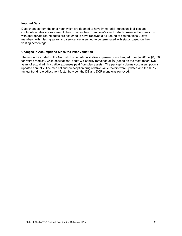#### **Imputed Data**

Data changes from the prior year which are deemed to have immaterial impact on liabilities and contribution rates are assumed to be correct in the current year's client data. Non-vested terminations with appropriate refund dates are assumed to have received a full refund of contributions. Active members with missing salary and service are assumed to be terminated with status based on their vesting percentage.

#### **Changes in Assumptions Since the Prior Valuation**

The amount included in the Normal Cost for administrative expenses was changed from \$4,700 to \$8,000 for retiree medical, while occupational death & disability remained at \$0 (based on the most recent two years of actual administrative expenses paid from plan assets). The per capita claims cost assumption is updated annually. The medical and prescription drug relative value factors were updated and the 0.2% annual trend rate adjustment factor between the DB and DCR plans was removed.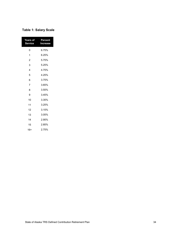# **Table 1: Salary Scale**

| Years of<br><b>Service</b> | Percent<br>Increase |
|----------------------------|---------------------|
| 0                          | 6.75%               |
| 1                          | 6.25%               |
| 2                          | 5.75%               |
| 3                          | 5.25%               |
| 4                          | 4.75%               |
| 5                          | 4.25%               |
| 6                          | 3.75%               |
| $\overline{7}$             | 3.65%               |
| 8                          | 3.55%               |
| 9                          | 3.45%               |
| 10                         | 3.35%               |
| 11                         | 3.25%               |
| 12                         | 3.15%               |
| 13                         | 3.05%               |
| 14                         | 2.95%               |
| 15                         | 2.85%               |
| 16+                        | 2.75%               |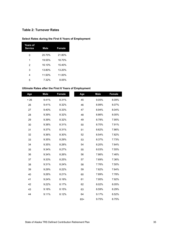## **Table 2: Turnover Rates**

# **Select Rates during the First 6 Years of Employment**

| <b>Years of</b><br><b>Service</b> | <b>Male</b> | Female |
|-----------------------------------|-------------|--------|
| 0                                 | 20.70%      | 21.80% |
| 1                                 | 19.55%      | 18.70% |
| 2                                 | 16.10%      | 15.40% |
| 3                                 | 13.80%      | 13.20% |
| 4                                 | 11.50%      | 11.00% |
| 5                                 | 7.32%       | 8.05%  |

 $\overline{\phantom{a}}$ 

#### **Ultimate Rates after the First 6 Years of Employment**

| Age  | <b>Male</b> | <b>Female</b> | Age   | <b>Male</b> | Female |
|------|-------------|---------------|-------|-------------|--------|
| < 26 | 9.41%       | 8.31%         | 45    | 9.05%       | 8.09%  |
| 26   | 9.41%       | 8.32%         | 46    | 8.99%       | 8.07%  |
| 27   | 9.40%       | 8.33%         | 47    | 8.94%       | 8.04%  |
| 28   | 9.39%       | 8.32%         | 48    | 8.86%       | 8.00%  |
| 29   | 9.39%       | 8.32%         | 49    | 8.78%       | 7.95%  |
| 30   | 9.38%       | 8.31%         | 50    | 8.70%       | 7.91%  |
| 31   | 9.37%       | 8.31%         | 51    | 8.62%       | 7.86%  |
| 32   | 9.36%       | 8.30%         | 52    | 8.54%       | 7.82%  |
| 33   | 9.35%       | 8.29%         | 53    | 8.37%       | 7.73%  |
| 34   | 9.35%       | 8.28%         | 54    | 8.20%       | 7.64%  |
| 35   | 9.34%       | 8.27%         | 55    | 8.03%       | 7.55%  |
| 36   | 9.34%       | 8.26%         | 56    | 7.86%       | 7.46%  |
| 37   | 9.33%       | 8.25%         | 57    | 7.69%       | 7.36%  |
| 38   | 9.31%       | 8.24%         | 58    | 7.76%       | 7.50%  |
| 39   | 9.29%       | 8.22%         | 59    | 7.82%       | 7.64%  |
| 40   | 9.26%       | 8.21%         | 60    | 7.89%       | 7.78%  |
| 41   | 9.24%       | 8.19%         | 61    | 7.95%       | 7.92%  |
| 42   | 9.22%       | 8.17%         | 62    | 8.02%       | 8.05%  |
| 43   | 9.16%       | 8.15%         | 63    | 8.59%       | 8.29%  |
| 44   | 9.11%       | 8.12%         | 64    | 9.17%       | 8.52%  |
|      |             |               | $65+$ | 9.75%       | 8.75%  |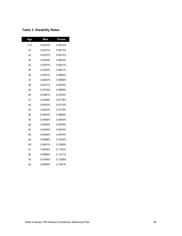# **Table 3: Disability Rates**

| Age  | <b>Male</b> | <b>Female</b> |
|------|-------------|---------------|
| < 31 | 0.0337%     | 0.0612%       |
| 31   | 0.0337%     | 0.0613%       |
| 32   | 0.0337%     | 0.0613%       |
| 33   | 0.0342%     | 0.0622%       |
| 34   | 0.0347%     | 0.0631%       |
| 35   | 0.0353%     | 0.0641%       |
| 36   | 0.0357%     | 0.0650%       |
| 37   | 0.0362%     | 0.0659%       |
| 38   | 0.0371%     | 0.0674%       |
| 39   | 0.0379%     | 0.0689%       |
| 40   | 0.0387%     | 0.0703%       |
| 41   | 0.0395%     | 0.0718%       |
| 42   | 0.0403%     | 0.0733%       |
| 43   | 0.0423%     | 0.0770%       |
| 44   | 0.0443%     | 0.0806%       |
| 45   | 0.0464%     | 0.0843%       |
| 46   | 0.0483%     | 0.0879%       |
| 47   | 0.0504%     | 0.0916%       |
| 48   | 0.0536%     | 0.0975%       |
| 49   | 0.0569%     | 0.1034%       |
| 50   | 0.0601%     | 0.1093%       |
| 51   | 0.0634%     | 0.1152%       |
| 52   | 0.0666%     | 0.1211%       |
| 53   | 0.0746%     | 0.1356%       |
| 54   | 0.0826%     | 0.1501%       |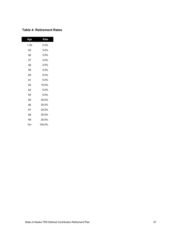## **Table 4: Retirement Rates**

| Age  | Rate   |
|------|--------|
| < 55 | 2.0%   |
| 55   | 3.0%   |
| 56   | 3.0%   |
| 57   | 3.0%   |
| 58   | 3.0%   |
| 59   | 3.0%   |
| 60   | 5.0%   |
| 61   | 5.0%   |
| 62   | 10.0%  |
| 63   | 5.0%   |
| 64   | 5.0%   |
| 65   | 25.0%  |
| 66   | 25.0%  |
| 67   | 25.0%  |
| 68   | 20.0%  |
| 69   | 20.0%  |
| 70+  | 100.0% |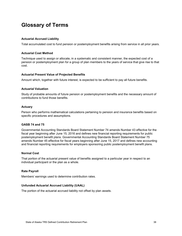# **Glossary of Terms**

#### **Actuarial Accrued Liability**

Total accumulated cost to fund pension or postemployment benefits arising from service in all prior years.

#### **Actuarial Cost Method**

Technique used to assign or allocate, in a systematic and consistent manner, the expected cost of a pension or postemployment plan for a group of plan members to the years of service that give rise to that cost.

#### **Actuarial Present Value of Projected Benefits**

Amount which, together with future interest, is expected to be sufficient to pay all future benefits.

#### **Actuarial Valuation**

Study of probable amounts of future pension or postemployment benefits and the necessary amount of contributions to fund those benefits.

#### **Actuary**

Person who performs mathematical calculations pertaining to pension and insurance benefits based on specific procedures and assumptions.

#### **GASB 74 and 75**

Governmental Accounting Standards Board Statement Number 74 amends Number 43 effective for the fiscal year beginning after June 15, 2016 and defines new financial reporting requirements for public postemployment benefit plans. Governmental Accounting Standards Board Statement Number 75 amends Number 45 effective for fiscal years beginning after June 15, 2017 and defines new accounting and financial reporting requirements for employers sponsoring public postemployment benefit plans.

#### **Normal Cost**

That portion of the actuarial present value of benefits assigned to a particular year in respect to an individual participant or the plan as a whole.

#### **Rate Payroll**

Members' earnings used to determine contribution rates.

#### **Unfunded Actuarial Accrued Liability (UAAL)**

The portion of the actuarial accrued liability not offset by plan assets.